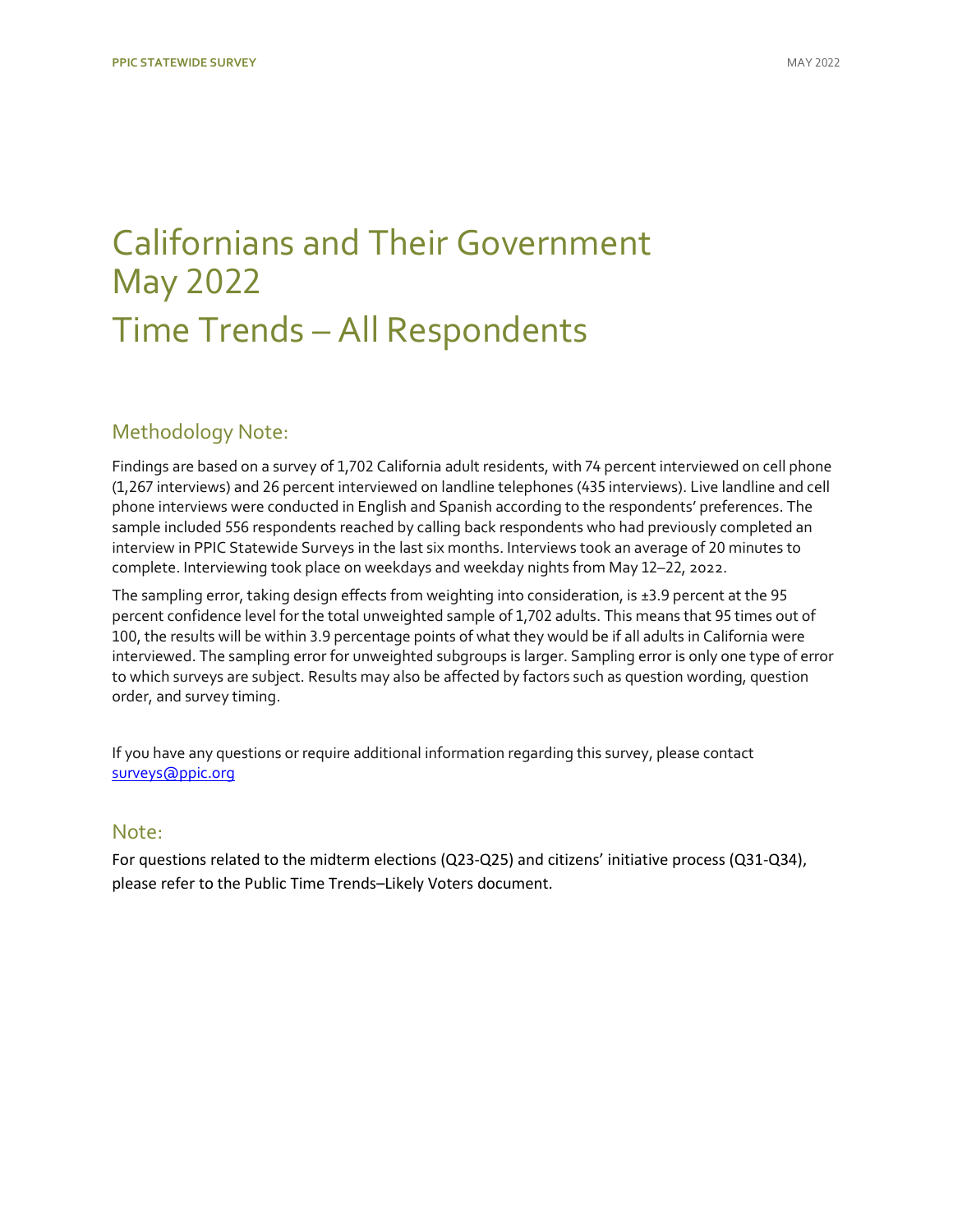## [Californians and Their Government](https://www.ppic.org/publication/ppic-statewide-survey-californians-and-their-government-may-2022/) May 2022 Time Trends – All Respondents

## Methodology Note:

Findings are based on a survey of 1,702 California adult residents, with 74 percent interviewed on cell phone (1,267 interviews) and 26 percent interviewed on landline telephones (435 interviews). Live landline and cell phone interviews were conducted in English and Spanish according to the respondents' preferences. The sample included 556 respondents reached by calling back respondents who had previously completed an interview in PPIC Statewide Surveys in the last six months. Interviews took an average of 20 minutes to complete. Interviewing took place on weekdays and weekday nights from May 12–22, 2022.

The sampling error, taking design effects from weighting into consideration, is ±3.9 percent at the 95 percent confidence level for the total unweighted sample of 1,702 adults. This means that 95 times out of 100, the results will be within 3.9 percentage points of what they would be if all adults in California were interviewed. The sampling error for unweighted subgroups is larger. Sampling error is only one type of error to which surveys are subject. Results may also be affected by factors such as question wording, question order, and survey timing.

If you have any questions or require additional information regarding this survey, please contact [surveys@ppic.org](mailto:surveys@ppic.org)

### Note:

For questions related to the midterm elections (Q23-Q25) and citizens' initiative process (Q31-Q34), please refer to the Public Time Trends–Likely Voters document.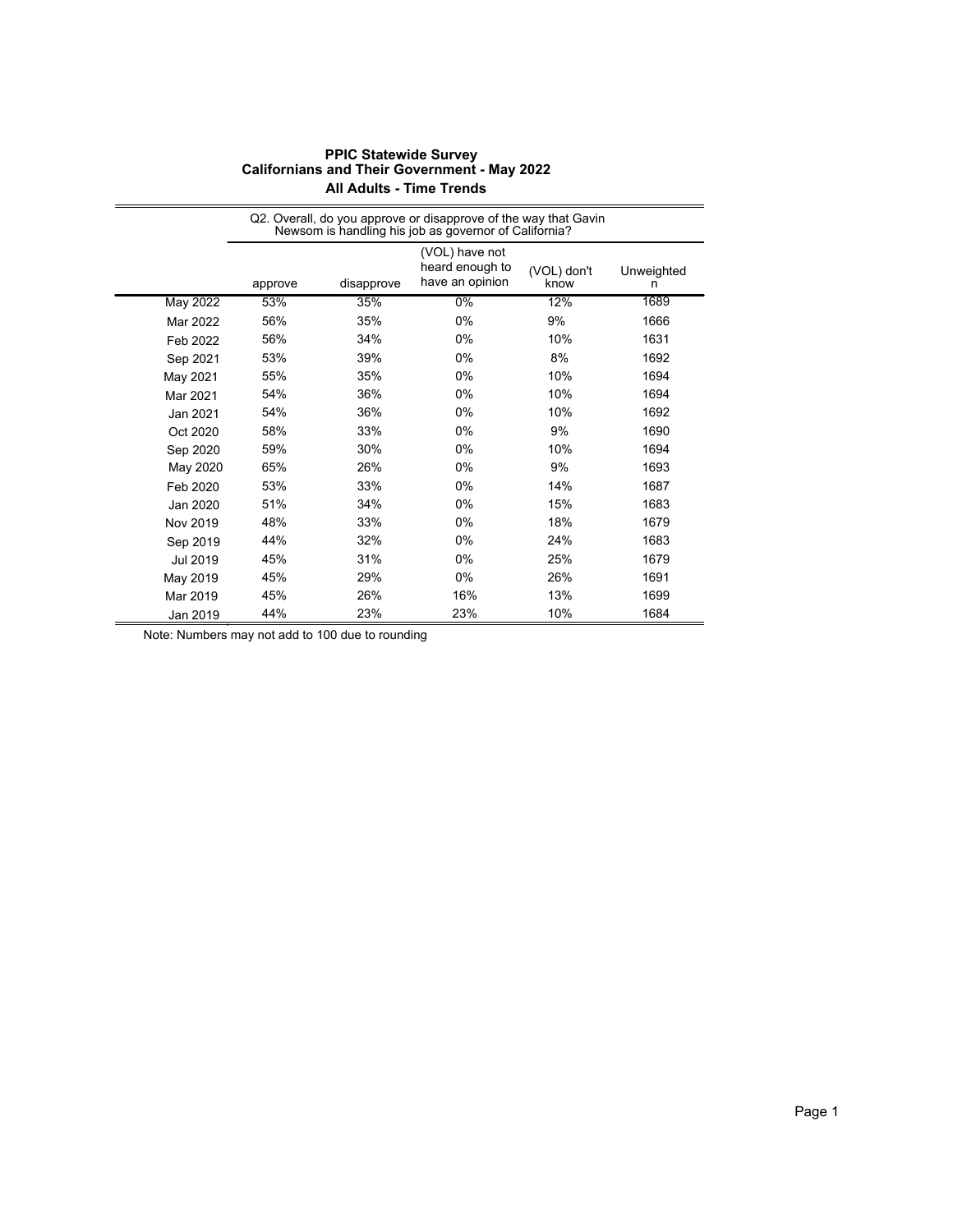|          | Q2. Overall, do you approve or disapprove of the way that Gavin<br>Newsom is handling his job as governor of California? |            |                                                      |                     |                 |  |
|----------|--------------------------------------------------------------------------------------------------------------------------|------------|------------------------------------------------------|---------------------|-----------------|--|
|          | approve                                                                                                                  | disapprove | (VOL) have not<br>heard enough to<br>have an opinion | (VOL) don't<br>know | Unweighted<br>n |  |
| May 2022 | 53%                                                                                                                      | 35%        | $0\%$                                                | 12%                 | 1689            |  |
| Mar 2022 | 56%                                                                                                                      | 35%        | 0%                                                   | 9%                  | 1666            |  |
| Feb 2022 | 56%                                                                                                                      | 34%        | 0%                                                   | 10%                 | 1631            |  |
| Sep 2021 | 53%                                                                                                                      | 39%        | 0%                                                   | 8%                  | 1692            |  |
| May 2021 | 55%                                                                                                                      | 35%        | 0%                                                   | 10%                 | 1694            |  |
| Mar 2021 | 54%                                                                                                                      | 36%        | 0%                                                   | 10%                 | 1694            |  |
| Jan 2021 | 54%                                                                                                                      | 36%        | 0%                                                   | 10%                 | 1692            |  |
| Oct 2020 | 58%                                                                                                                      | 33%        | 0%                                                   | 9%                  | 1690            |  |
| Sep 2020 | 59%                                                                                                                      | 30%        | 0%                                                   | 10%                 | 1694            |  |
| May 2020 | 65%                                                                                                                      | 26%        | 0%                                                   | 9%                  | 1693            |  |
| Feb 2020 | 53%                                                                                                                      | 33%        | 0%                                                   | 14%                 | 1687            |  |
| Jan 2020 | 51%                                                                                                                      | 34%        | 0%                                                   | 15%                 | 1683            |  |
| Nov 2019 | 48%                                                                                                                      | 33%        | 0%                                                   | 18%                 | 1679            |  |
| Sep 2019 | 44%                                                                                                                      | 32%        | 0%                                                   | 24%                 | 1683            |  |
| Jul 2019 | 45%                                                                                                                      | 31%        | 0%                                                   | 25%                 | 1679            |  |
| May 2019 | 45%                                                                                                                      | 29%        | 0%                                                   | 26%                 | 1691            |  |
| Mar 2019 | 45%                                                                                                                      | 26%        | 16%                                                  | 13%                 | 1699            |  |
| Jan 2019 | 44%                                                                                                                      | 23%        | 23%                                                  | 10%                 | 1684            |  |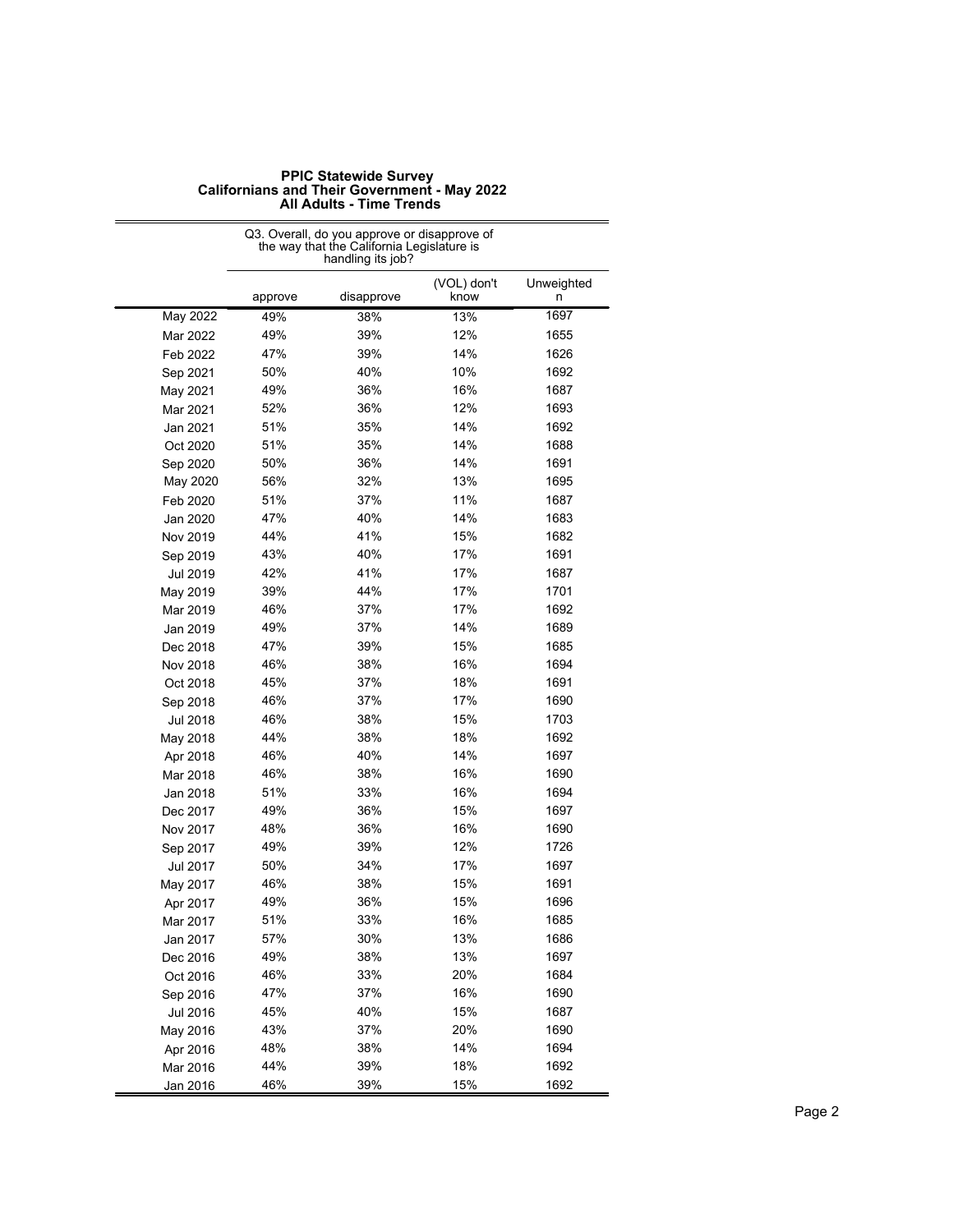|                 | Q3. Overall, do you approve or disapprove of<br>the way that the California Legislature is<br>handling its job? |            |                     |                 |  |
|-----------------|-----------------------------------------------------------------------------------------------------------------|------------|---------------------|-----------------|--|
|                 | approve                                                                                                         | disapprove | (VOL) don't<br>know | Unweighted<br>n |  |
| May 2022        | 49%                                                                                                             | 38%        | 13%                 | 1697            |  |
| Mar 2022        | 49%                                                                                                             | 39%        | 12%                 | 1655            |  |
| Feb 2022        | 47%                                                                                                             | 39%        | 14%                 | 1626            |  |
| Sep 2021        | 50%                                                                                                             | 40%        | 10%                 | 1692            |  |
| May 2021        | 49%                                                                                                             | 36%        | 16%                 | 1687            |  |
| Mar 2021        | 52%                                                                                                             | 36%        | 12%                 | 1693            |  |
| Jan 2021        | 51%                                                                                                             | 35%        | 14%                 | 1692            |  |
| Oct 2020        | 51%                                                                                                             | 35%        | 14%                 | 1688            |  |
| Sep 2020        | 50%                                                                                                             | 36%        | 14%                 | 1691            |  |
| May 2020        | 56%                                                                                                             | 32%        | 13%                 | 1695            |  |
| Feb 2020        | 51%                                                                                                             | 37%        | 11%                 | 1687            |  |
| Jan 2020        | 47%                                                                                                             | 40%        | 14%                 | 1683            |  |
| Nov 2019        | 44%                                                                                                             | 41%        | 15%                 | 1682            |  |
| Sep 2019        | 43%                                                                                                             | 40%        | 17%                 | 1691            |  |
| Jul 2019        | 42%                                                                                                             | 41%        | 17%                 | 1687            |  |
| May 2019        | 39%                                                                                                             | 44%        | 17%                 | 1701            |  |
| Mar 2019        | 46%                                                                                                             | 37%        | 17%                 | 1692            |  |
| Jan 2019        | 49%                                                                                                             | 37%        | 14%                 | 1689            |  |
| Dec 2018        | 47%                                                                                                             | 39%        | 15%                 | 1685            |  |
| Nov 2018        | 46%                                                                                                             | 38%        | 16%                 | 1694            |  |
| Oct 2018        | 45%                                                                                                             | 37%        | 18%                 | 1691            |  |
| Sep 2018        | 46%                                                                                                             | 37%        | 17%                 | 1690            |  |
| <b>Jul 2018</b> | 46%                                                                                                             | 38%        | 15%                 | 1703            |  |
| May 2018        | 44%                                                                                                             | 38%        | 18%                 | 1692            |  |
| Apr 2018        | 46%                                                                                                             | 40%        | 14%                 | 1697            |  |
| Mar 2018        | 46%                                                                                                             | 38%        | 16%                 | 1690            |  |
| Jan 2018        | 51%                                                                                                             | 33%        | 16%                 | 1694            |  |
| Dec 2017        | 49%                                                                                                             | 36%        | 15%                 | 1697            |  |
| Nov 2017        | 48%                                                                                                             | 36%        | 16%                 | 1690            |  |
| Sep 2017        | 49%                                                                                                             | 39%        | 12%                 | 1726            |  |
| Jul 2017        | 50%                                                                                                             | 34%        | 17%                 | 1697            |  |
| May 2017        | 46%                                                                                                             | 38%        | 15%                 | 1691            |  |
| Apr 2017        | 49%                                                                                                             | 36%        | 15%                 | 1696            |  |
| Mar 2017        | 51%                                                                                                             | 33%        | 16%                 | 1685            |  |
| Jan 2017        | 57%                                                                                                             | 30%        | 13%                 | 1686            |  |
| Dec 2016        | 49%                                                                                                             | 38%        | 13%                 | 1697            |  |
| Oct 2016        | 46%                                                                                                             | 33%        | 20%                 | 1684            |  |
| Sep 2016        | 47%                                                                                                             | 37%        | 16%                 | 1690            |  |
| Jul 2016        | 45%                                                                                                             | 40%        | 15%                 | 1687            |  |
| May 2016        | 43%                                                                                                             | 37%        | 20%                 | 1690            |  |
| Apr 2016        | 48%                                                                                                             | 38%        | 14%                 | 1694            |  |
| Mar 2016        | 44%                                                                                                             | 39%        | 18%                 | 1692            |  |
| Jan 2016        | 46%                                                                                                             | 39%        | 15%                 | 1692            |  |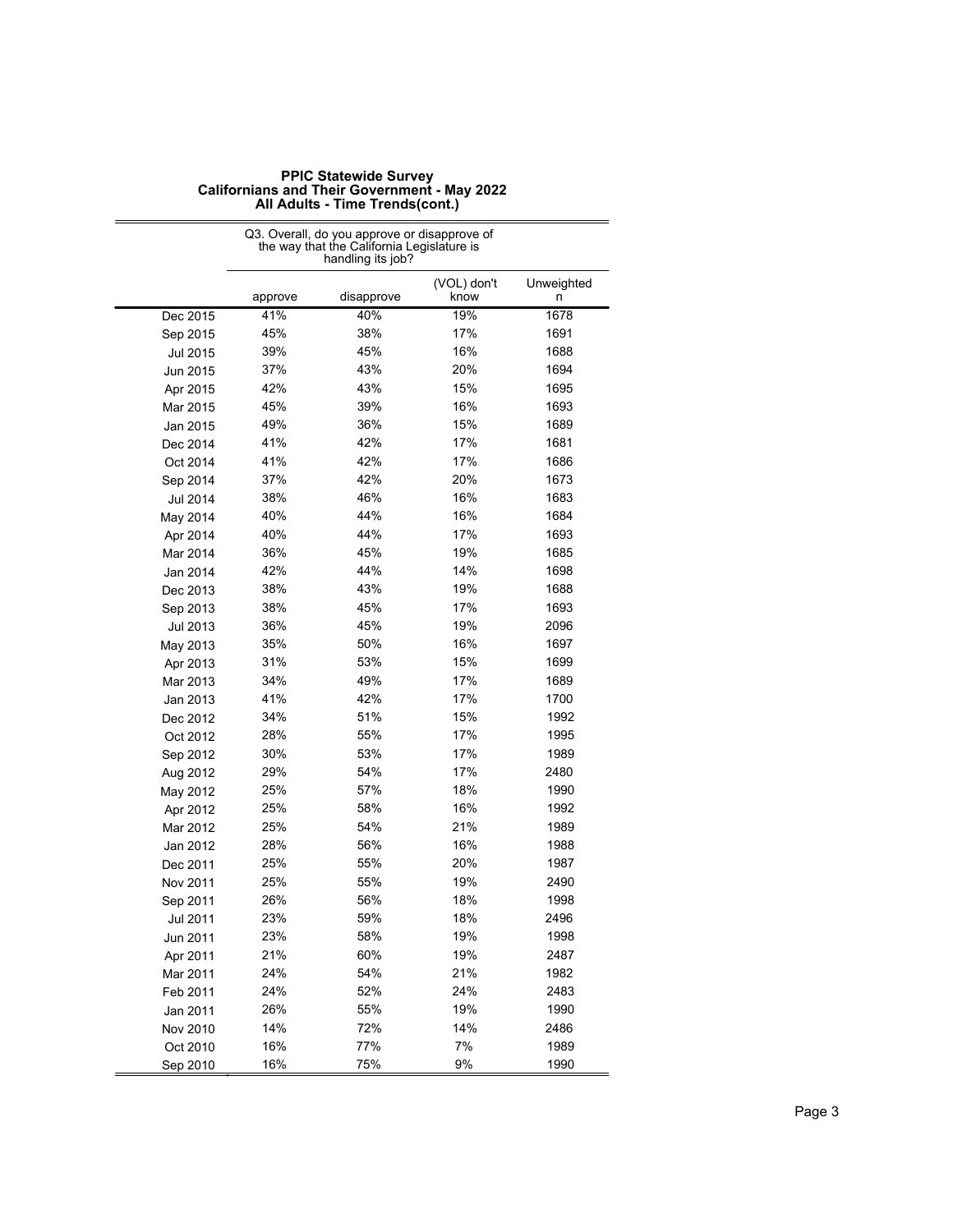|          | Q3. Overall, do you approve or disapprove of<br>the way that the California Legislature is<br>handling its job? |            |                     |                 |  |
|----------|-----------------------------------------------------------------------------------------------------------------|------------|---------------------|-----------------|--|
|          | approve                                                                                                         | disapprove | (VOL) don't<br>know | Unweighted<br>n |  |
| Dec 2015 | 41%                                                                                                             | 40%        | 19%                 | 1678            |  |
| Sep 2015 | 45%                                                                                                             | 38%        | 17%                 | 1691            |  |
| Jul 2015 | 39%                                                                                                             | 45%        | 16%                 | 1688            |  |
| Jun 2015 | 37%                                                                                                             | 43%        | 20%                 | 1694            |  |
| Apr 2015 | 42%                                                                                                             | 43%        | 15%                 | 1695            |  |
| Mar 2015 | 45%                                                                                                             | 39%        | 16%                 | 1693            |  |
| Jan 2015 | 49%                                                                                                             | 36%        | 15%                 | 1689            |  |
| Dec 2014 | 41%                                                                                                             | 42%        | 17%                 | 1681            |  |
| Oct 2014 | 41%                                                                                                             | 42%        | 17%                 | 1686            |  |
| Sep 2014 | 37%                                                                                                             | 42%        | 20%                 | 1673            |  |
| Jul 2014 | 38%                                                                                                             | 46%        | 16%                 | 1683            |  |
| May 2014 | 40%                                                                                                             | 44%        | 16%                 | 1684            |  |
| Apr 2014 | 40%                                                                                                             | 44%        | 17%                 | 1693            |  |
| Mar 2014 | 36%                                                                                                             | 45%        | 19%                 | 1685            |  |
| Jan 2014 | 42%                                                                                                             | 44%        | 14%                 | 1698            |  |
| Dec 2013 | 38%                                                                                                             | 43%        | 19%                 | 1688            |  |
| Sep 2013 | 38%                                                                                                             | 45%        | 17%                 | 1693            |  |
| Jul 2013 | 36%                                                                                                             | 45%        | 19%                 | 2096            |  |
| May 2013 | 35%                                                                                                             | 50%        | 16%                 | 1697            |  |
| Apr 2013 | 31%                                                                                                             | 53%        | 15%                 | 1699            |  |
| Mar 2013 | 34%                                                                                                             | 49%        | 17%                 | 1689            |  |
| Jan 2013 | 41%                                                                                                             | 42%        | 17%                 | 1700            |  |
| Dec 2012 | 34%                                                                                                             | 51%        | 15%                 | 1992            |  |
| Oct 2012 | 28%                                                                                                             | 55%        | 17%                 | 1995            |  |
| Sep 2012 | 30%                                                                                                             | 53%        | 17%                 | 1989            |  |
| Aug 2012 | 29%                                                                                                             | 54%        | 17%                 | 2480            |  |
| May 2012 | 25%                                                                                                             | 57%        | 18%                 | 1990            |  |
| Apr 2012 | 25%                                                                                                             | 58%        | 16%                 | 1992            |  |
| Mar 2012 | 25%                                                                                                             | 54%        | 21%                 | 1989            |  |
| Jan 2012 | 28%                                                                                                             | 56%        | 16%                 | 1988            |  |
| Dec 2011 | 25%                                                                                                             | 55%        | 20%                 | 1987            |  |
| Nov 2011 | 25%                                                                                                             | 55%        | 19%                 | 2490            |  |
| Sep 2011 | 26%                                                                                                             | 56%        | 18%                 | 1998            |  |
| Jul 2011 | 23%                                                                                                             | 59%        | 18%                 | 2496            |  |
| Jun 2011 | 23%                                                                                                             | 58%        | 19%                 | 1998            |  |
| Apr 2011 | 21%                                                                                                             | 60%        | 19%                 | 2487            |  |
| Mar 2011 | 24%                                                                                                             | 54%        | 21%                 | 1982            |  |
| Feb 2011 | 24%                                                                                                             | 52%        | 24%                 | 2483            |  |
| Jan 2011 | 26%                                                                                                             | 55%        | 19%                 | 1990            |  |
| Nov 2010 | 14%                                                                                                             | 72%        | 14%                 | 2486            |  |
| Oct 2010 | 16%                                                                                                             | 77%        | 7%                  | 1989            |  |
| Sep 2010 | 16%                                                                                                             | 75%        | 9%                  | 1990            |  |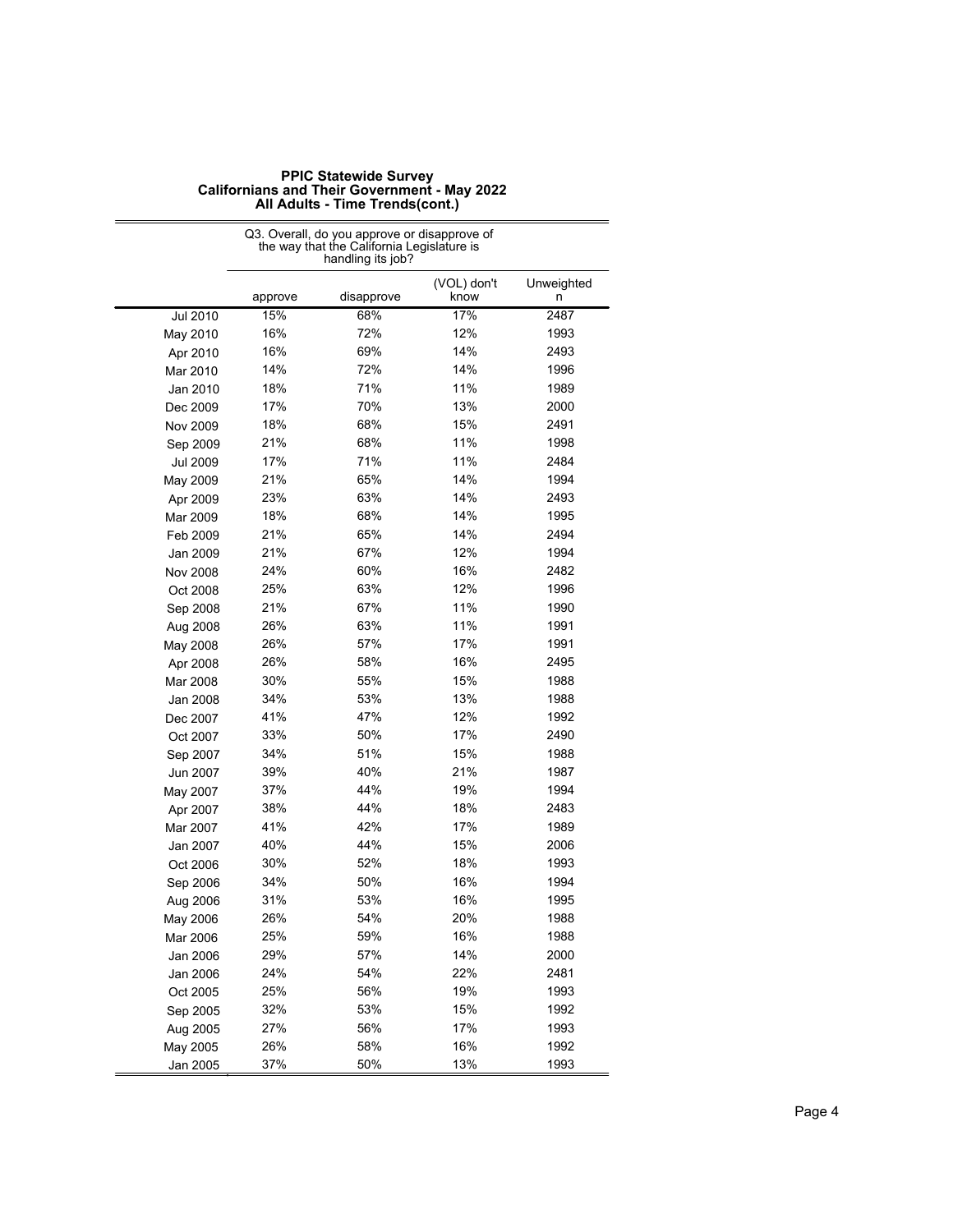|          | Q3. Overall, do you approve or disapprove of<br>the way that the California Legislature is |                   |                     |                 |  |
|----------|--------------------------------------------------------------------------------------------|-------------------|---------------------|-----------------|--|
|          |                                                                                            | handling its job? |                     |                 |  |
|          | approve                                                                                    | disapprove        | (VOL) don't<br>know | Unweighted<br>n |  |
| Jul 2010 | 15%                                                                                        | 68%               | 17%                 | 2487            |  |
| May 2010 | 16%                                                                                        | 72%               | 12%                 | 1993            |  |
| Apr 2010 | 16%                                                                                        | 69%               | 14%                 | 2493            |  |
| Mar 2010 | 14%                                                                                        | 72%               | 14%                 | 1996            |  |
| Jan 2010 | 18%                                                                                        | 71%               | 11%                 | 1989            |  |
| Dec 2009 | 17%                                                                                        | 70%               | 13%                 | 2000            |  |
| Nov 2009 | 18%                                                                                        | 68%               | 15%                 | 2491            |  |
| Sep 2009 | 21%                                                                                        | 68%               | 11%                 | 1998            |  |
| Jul 2009 | 17%                                                                                        | 71%               | 11%                 | 2484            |  |
| May 2009 | 21%                                                                                        | 65%               | 14%                 | 1994            |  |
| Apr 2009 | 23%                                                                                        | 63%               | 14%                 | 2493            |  |
| Mar 2009 | 18%                                                                                        | 68%               | 14%                 | 1995            |  |
| Feb 2009 | 21%                                                                                        | 65%               | 14%                 | 2494            |  |
| Jan 2009 | 21%                                                                                        | 67%               | 12%                 | 1994            |  |
| Nov 2008 | 24%                                                                                        | 60%               | 16%                 | 2482            |  |
| Oct 2008 | 25%                                                                                        | 63%               | 12%                 | 1996            |  |
| Sep 2008 | 21%                                                                                        | 67%               | 11%                 | 1990            |  |
| Aug 2008 | 26%                                                                                        | 63%               | 11%                 | 1991            |  |
| May 2008 | 26%                                                                                        | 57%               | 17%                 | 1991            |  |
| Apr 2008 | 26%                                                                                        | 58%               | 16%                 | 2495            |  |
| Mar 2008 | 30%                                                                                        | 55%               | 15%                 | 1988            |  |
| Jan 2008 | 34%                                                                                        | 53%               | 13%                 | 1988            |  |
| Dec 2007 | 41%                                                                                        | 47%               | 12%                 | 1992            |  |
| Oct 2007 | 33%                                                                                        | 50%               | 17%                 | 2490            |  |
| Sep 2007 | 34%                                                                                        | 51%               | 15%                 | 1988            |  |
| Jun 2007 | 39%                                                                                        | 40%               | 21%                 | 1987            |  |
| May 2007 | 37%                                                                                        | 44%               | 19%                 | 1994            |  |
| Apr 2007 | 38%                                                                                        | 44%               | 18%                 | 2483            |  |
| Mar 2007 | 41%                                                                                        | 42%               | 17%                 | 1989            |  |
| Jan 2007 | 40%                                                                                        | 44%               | 15%                 | 2006            |  |
| Oct 2006 | 30%                                                                                        | 52%               | 18%                 | 1993            |  |
| Sep 2006 | 34%                                                                                        | 50%               | 16%                 | 1994            |  |
| Aug 2006 | 31%                                                                                        | 53%               | 16%                 | 1995            |  |
| May 2006 | 26%                                                                                        | 54%               | 20%                 | 1988            |  |
| Mar 2006 | 25%                                                                                        | 59%               | 16%                 | 1988            |  |
| Jan 2006 | 29%                                                                                        | 57%               | 14%                 | 2000            |  |
| Jan 2006 | 24%                                                                                        | 54%               | 22%                 | 2481            |  |
| Oct 2005 | 25%                                                                                        | 56%               | 19%                 | 1993            |  |
| Sep 2005 | 32%                                                                                        | 53%               | 15%                 | 1992            |  |
| Aug 2005 | 27%                                                                                        | 56%               | 17%                 | 1993            |  |
| May 2005 | 26%                                                                                        | 58%               | 16%                 | 1992            |  |
| Jan 2005 | 37%                                                                                        | 50%               | 13%                 | 1993            |  |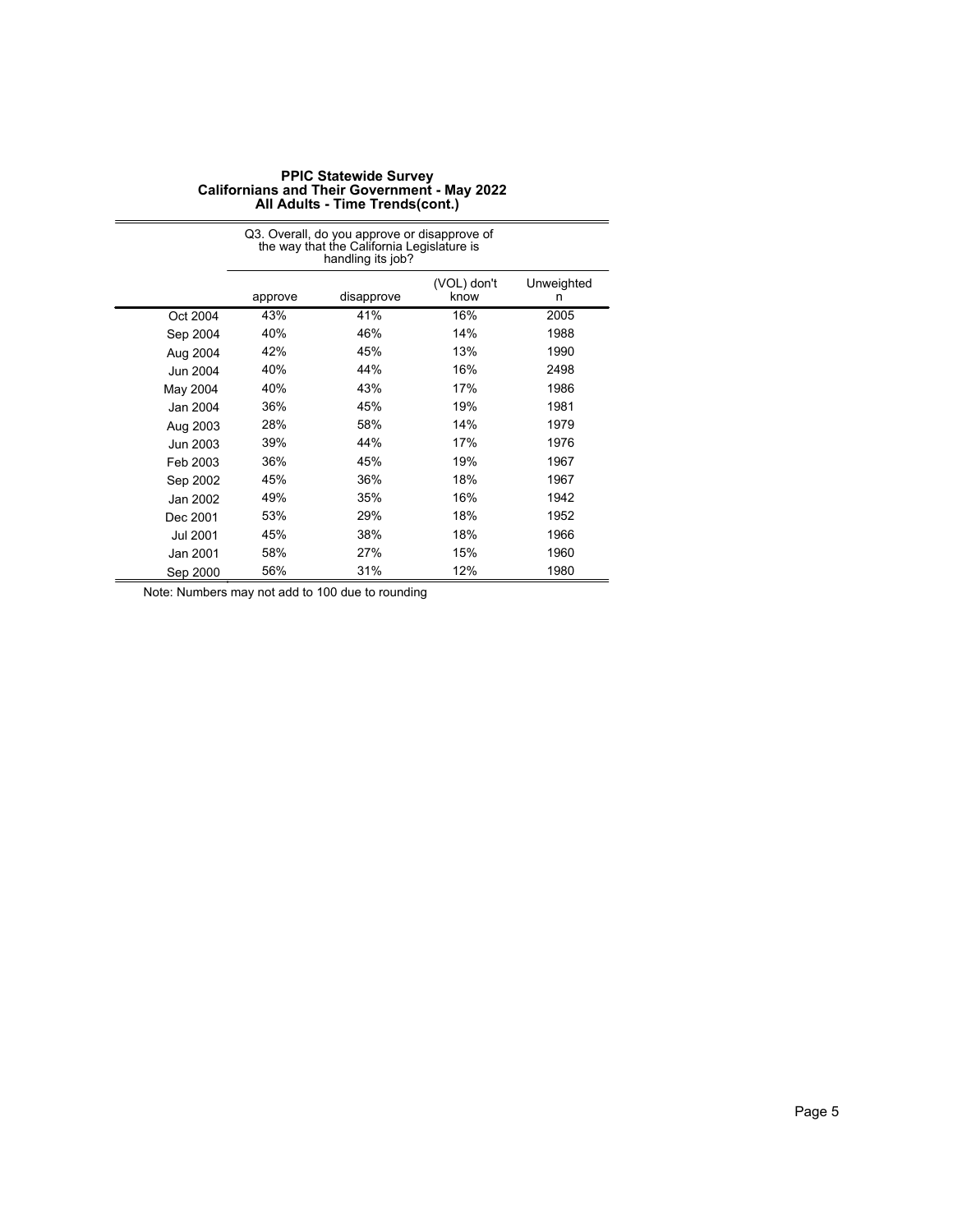|          |         | Q3. Overall, do you approve or disapprove of<br>the way that the California Legislature is<br>handling its job? |                     |                 |  |  |
|----------|---------|-----------------------------------------------------------------------------------------------------------------|---------------------|-----------------|--|--|
|          | approve | disapprove                                                                                                      | (VOL) don't<br>know | Unweighted<br>n |  |  |
| Oct 2004 | 43%     | 41%                                                                                                             | 16%                 | 2005            |  |  |
| Sep 2004 | 40%     | 46%                                                                                                             | 14%                 | 1988            |  |  |
| Aug 2004 | 42%     | 45%                                                                                                             | 13%                 | 1990            |  |  |
| Jun 2004 | 40%     | 44%                                                                                                             | 16%                 | 2498            |  |  |
| May 2004 | 40%     | 43%                                                                                                             | 17%                 | 1986            |  |  |
| Jan 2004 | 36%     | 45%                                                                                                             | 19%                 | 1981            |  |  |
| Aug 2003 | 28%     | 58%                                                                                                             | 14%                 | 1979            |  |  |
| Jun 2003 | 39%     | 44%                                                                                                             | 17%                 | 1976            |  |  |
| Feb 2003 | 36%     | 45%                                                                                                             | 19%                 | 1967            |  |  |
| Sep 2002 | 45%     | 36%                                                                                                             | 18%                 | 1967            |  |  |
| Jan 2002 | 49%     | 35%                                                                                                             | 16%                 | 1942            |  |  |
| Dec 2001 | 53%     | 29%                                                                                                             | 18%                 | 1952            |  |  |
| Jul 2001 | 45%     | 38%                                                                                                             | 18%                 | 1966            |  |  |
| Jan 2001 | 58%     | 27%                                                                                                             | 15%                 | 1960            |  |  |
| Sep 2000 | 56%     | 31%                                                                                                             | 12%                 | 1980            |  |  |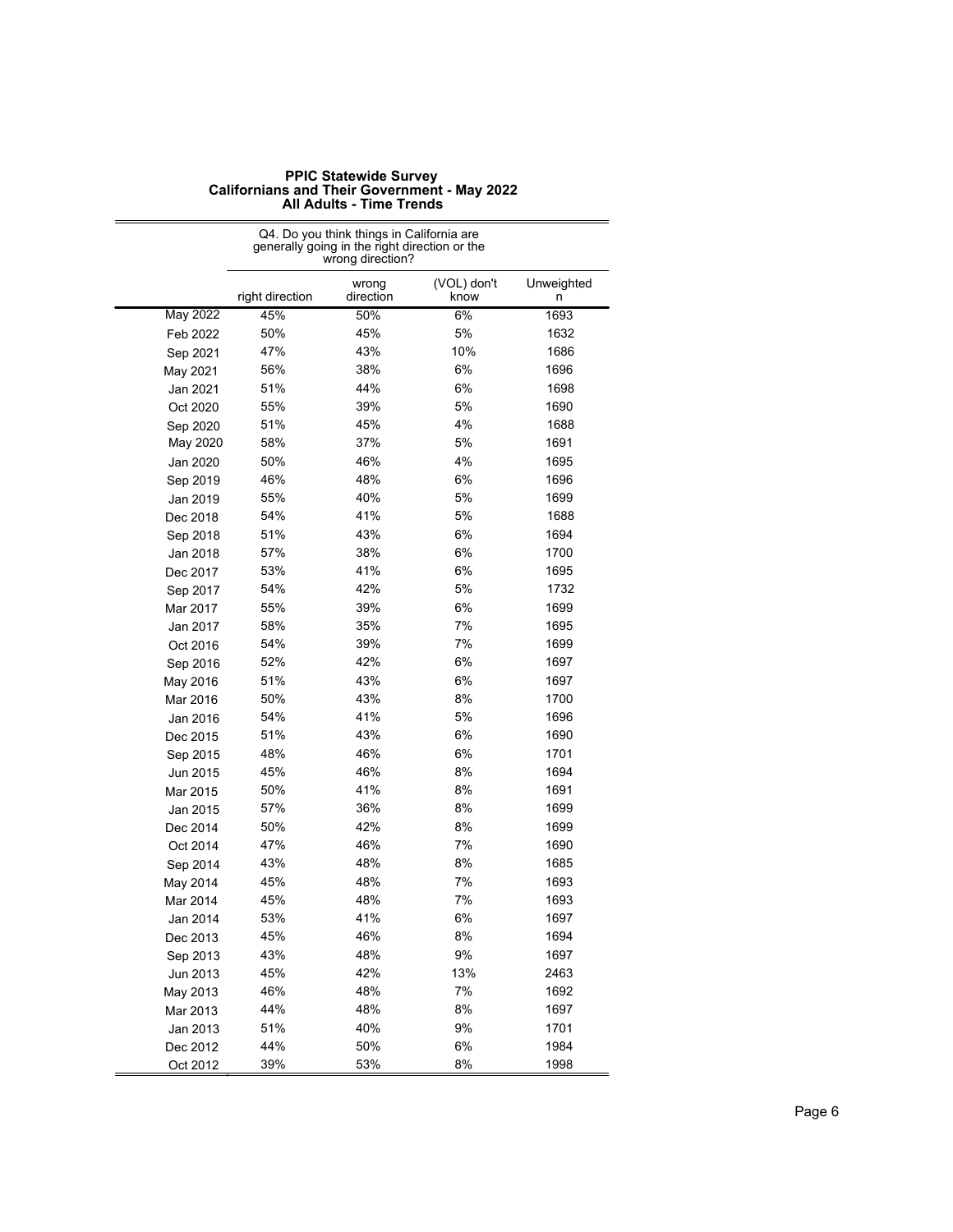|                 | Q4. Do you think things in California are<br>generally going in the right direction or the<br>wrong direction? |                    |                     |                 |  |
|-----------------|----------------------------------------------------------------------------------------------------------------|--------------------|---------------------|-----------------|--|
|                 | right direction                                                                                                | wrong<br>direction | (VOL) don't<br>know | Unweighted<br>n |  |
| <b>May 2022</b> | 45%                                                                                                            | 50%                | 6%                  | 1693            |  |
| Feb 2022        | 50%                                                                                                            | 45%                | 5%                  | 1632            |  |
| Sep 2021        | 47%                                                                                                            | 43%                | 10%                 | 1686            |  |
| May 2021        | 56%                                                                                                            | 38%                | 6%                  | 1696            |  |
| Jan 2021        | 51%                                                                                                            | 44%                | 6%                  | 1698            |  |
| Oct 2020        | 55%                                                                                                            | 39%                | 5%                  | 1690            |  |
| Sep 2020        | 51%                                                                                                            | 45%                | 4%                  | 1688            |  |
| May 2020        | 58%                                                                                                            | 37%                | 5%                  | 1691            |  |
| Jan 2020        | 50%                                                                                                            | 46%                | 4%                  | 1695            |  |
| Sep 2019        | 46%                                                                                                            | 48%                | 6%                  | 1696            |  |
| Jan 2019        | 55%                                                                                                            | 40%                | 5%                  | 1699            |  |
| Dec 2018        | 54%                                                                                                            | 41%                | 5%                  | 1688            |  |
| Sep 2018        | 51%                                                                                                            | 43%                | 6%                  | 1694            |  |
| Jan 2018        | 57%                                                                                                            | 38%                | 6%                  | 1700            |  |
| Dec 2017        | 53%                                                                                                            | 41%                | 6%                  | 1695            |  |
| Sep 2017        | 54%                                                                                                            | 42%                | 5%                  | 1732            |  |
| Mar 2017        | 55%                                                                                                            | 39%                | 6%                  | 1699            |  |
| Jan 2017        | 58%                                                                                                            | 35%                | 7%                  | 1695            |  |
| Oct 2016        | 54%                                                                                                            | 39%                | 7%                  | 1699            |  |
| Sep 2016        | 52%                                                                                                            | 42%                | 6%                  | 1697            |  |
| May 2016        | 51%                                                                                                            | 43%                | 6%                  | 1697            |  |
| Mar 2016        | 50%                                                                                                            | 43%                | 8%                  | 1700            |  |
| Jan 2016        | 54%                                                                                                            | 41%                | 5%                  | 1696            |  |
| Dec 2015        | 51%                                                                                                            | 43%                | 6%                  | 1690            |  |
| Sep 2015        | 48%                                                                                                            | 46%                | 6%                  | 1701            |  |
| Jun 2015        | 45%                                                                                                            | 46%                | 8%                  | 1694            |  |
| Mar 2015        | 50%                                                                                                            | 41%                | 8%                  | 1691            |  |
| Jan 2015        | 57%                                                                                                            | 36%                | 8%                  | 1699            |  |
| Dec 2014        | 50%                                                                                                            | 42%                | 8%                  | 1699            |  |
| Oct 2014        | 47%                                                                                                            | 46%                | 7%                  | 1690            |  |
| Sep 2014        | 43%                                                                                                            | 48%                | 8%                  | 1685            |  |
| May 2014        | 45%                                                                                                            | 48%                | 7%                  | 1693            |  |
| Mar 2014        | 45%                                                                                                            | 48%                | 7%                  | 1693            |  |
| Jan 2014        | 53%                                                                                                            | 41%                | 6%                  | 1697            |  |
| Dec 2013        | 45%                                                                                                            | 46%                | 8%                  | 1694            |  |
| Sep 2013        | 43%                                                                                                            | 48%                | 9%                  | 1697            |  |
| Jun 2013        | 45%                                                                                                            | 42%                | 13%                 | 2463            |  |
| May 2013        | 46%                                                                                                            | 48%                | 7%                  | 1692            |  |
| Mar 2013        | 44%                                                                                                            | 48%                | 8%                  | 1697            |  |
| Jan 2013        | 51%                                                                                                            | 40%                | 9%                  | 1701            |  |
| Dec 2012        | 44%                                                                                                            | 50%                | 6%                  | 1984            |  |
| Oct 2012        | 39%                                                                                                            | 53%                | 8%                  | 1998            |  |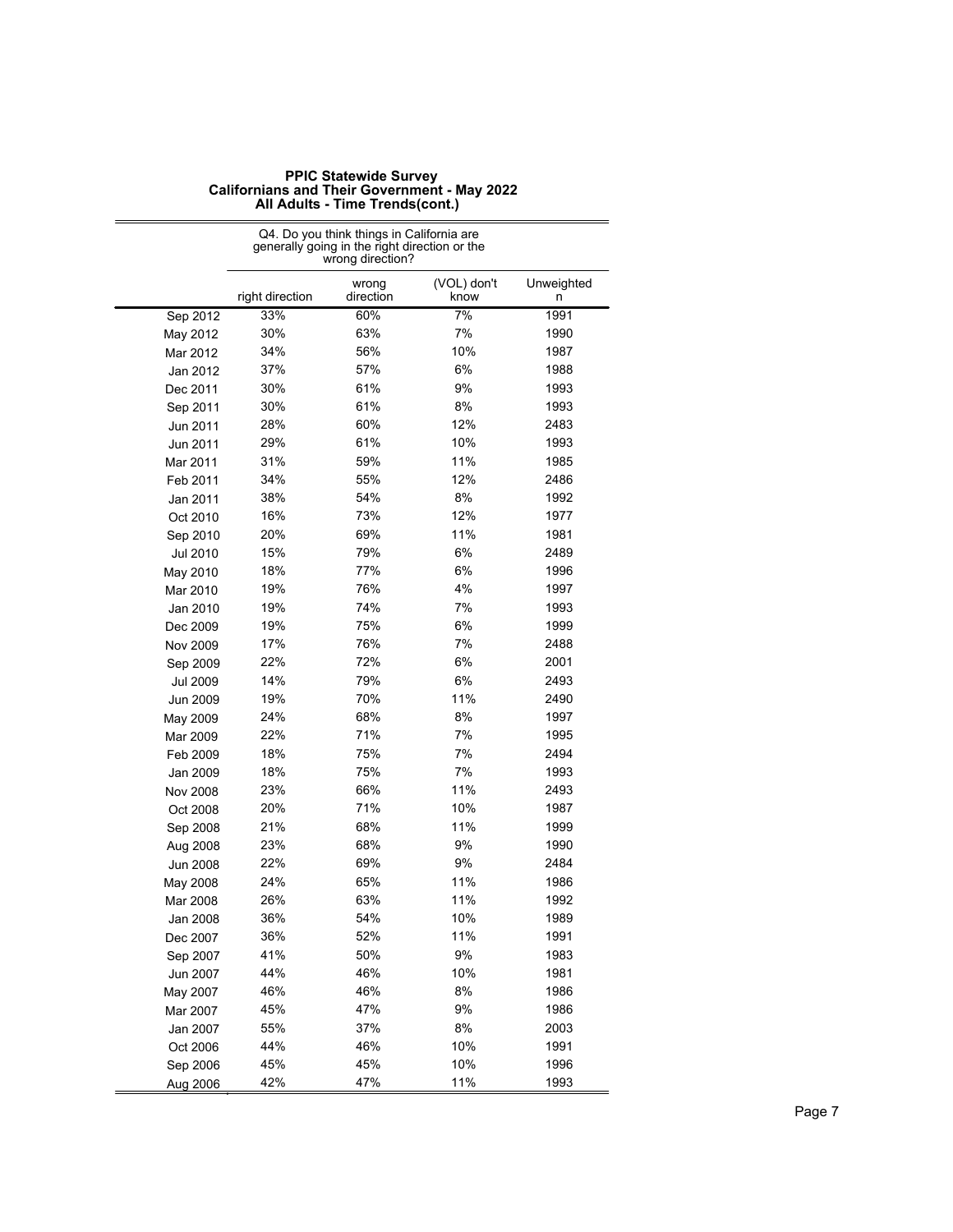|                 | Q4. Do you think things in California are<br>generally going in the right direction or the<br>wrong direction? |                    |                     |                 |  |
|-----------------|----------------------------------------------------------------------------------------------------------------|--------------------|---------------------|-----------------|--|
|                 | right direction                                                                                                | wrong<br>direction | (VOL) don't<br>know | Unweighted<br>n |  |
| Sep 2012        | 33%                                                                                                            | 60%                | 7%                  | 1991            |  |
| May 2012        | 30%                                                                                                            | 63%                | 7%                  | 1990            |  |
| Mar 2012        | 34%                                                                                                            | 56%                | 10%                 | 1987            |  |
| Jan 2012        | 37%                                                                                                            | 57%                | 6%                  | 1988            |  |
| Dec 2011        | 30%                                                                                                            | 61%                | 9%                  | 1993            |  |
| Sep 2011        | 30%                                                                                                            | 61%                | 8%                  | 1993            |  |
| Jun 2011        | 28%                                                                                                            | 60%                | 12%                 | 2483            |  |
| Jun 2011        | 29%                                                                                                            | 61%                | 10%                 | 1993            |  |
| Mar 2011        | 31%                                                                                                            | 59%                | 11%                 | 1985            |  |
| Feb 2011        | 34%                                                                                                            | 55%                | 12%                 | 2486            |  |
| Jan 2011        | 38%                                                                                                            | 54%                | 8%                  | 1992            |  |
| Oct 2010        | 16%                                                                                                            | 73%                | 12%                 | 1977            |  |
| Sep 2010        | 20%                                                                                                            | 69%                | 11%                 | 1981            |  |
| Jul 2010        | 15%                                                                                                            | 79%                | 6%                  | 2489            |  |
| May 2010        | 18%                                                                                                            | 77%                | 6%                  | 1996            |  |
| Mar 2010        | 19%                                                                                                            | 76%                | 4%                  | 1997            |  |
| Jan 2010        | 19%                                                                                                            | 74%                | 7%                  | 1993            |  |
| Dec 2009        | 19%                                                                                                            | 75%                | 6%                  | 1999            |  |
| Nov 2009        | 17%                                                                                                            | 76%                | 7%                  | 2488            |  |
| Sep 2009        | 22%                                                                                                            | 72%                | 6%                  | 2001            |  |
| <b>Jul 2009</b> | 14%                                                                                                            | 79%                | 6%                  | 2493            |  |
| Jun 2009        | 19%                                                                                                            | 70%                | 11%                 | 2490            |  |
| May 2009        | 24%                                                                                                            | 68%                | 8%                  | 1997            |  |
| Mar 2009        | 22%                                                                                                            | 71%                | 7%                  | 1995            |  |
| Feb 2009        | 18%                                                                                                            | 75%                | 7%                  | 2494            |  |
| Jan 2009        | 18%                                                                                                            | 75%                | 7%                  | 1993            |  |
| Nov 2008        | 23%                                                                                                            | 66%                | 11%                 | 2493            |  |
| Oct 2008        | 20%                                                                                                            | 71%                | 10%                 | 1987            |  |
| Sep 2008        | 21%                                                                                                            | 68%                | 11%                 | 1999            |  |
| Aug 2008        | 23%                                                                                                            | 68%                | 9%                  | 1990            |  |
| Jun 2008        | 22%                                                                                                            | 69%                | 9%                  | 2484            |  |
| May 2008        | 24%                                                                                                            | 65%                | 11%                 | 1986            |  |
| Mar 2008        | 26%                                                                                                            | 63%                | 11%                 | 1992            |  |
| Jan 2008        | 36%                                                                                                            | 54%                | 10%                 | 1989            |  |
| Dec 2007        | 36%                                                                                                            | 52%                | 11%                 | 1991            |  |
| Sep 2007        | 41%                                                                                                            | 50%                | 9%                  | 1983            |  |
| Jun 2007        | 44%                                                                                                            | 46%                | 10%                 | 1981            |  |
| May 2007        | 46%                                                                                                            | 46%                | 8%                  | 1986            |  |
| Mar 2007        | 45%                                                                                                            | 47%                | 9%                  | 1986            |  |
| Jan 2007        | 55%                                                                                                            | 37%                | 8%                  | 2003            |  |
| Oct 2006        | 44%                                                                                                            | 46%                | 10%                 | 1991            |  |
| Sep 2006        | 45%                                                                                                            | 45%                | 10%                 | 1996            |  |
| Aug 2006        | 42%                                                                                                            | 47%                | 11%                 | 1993            |  |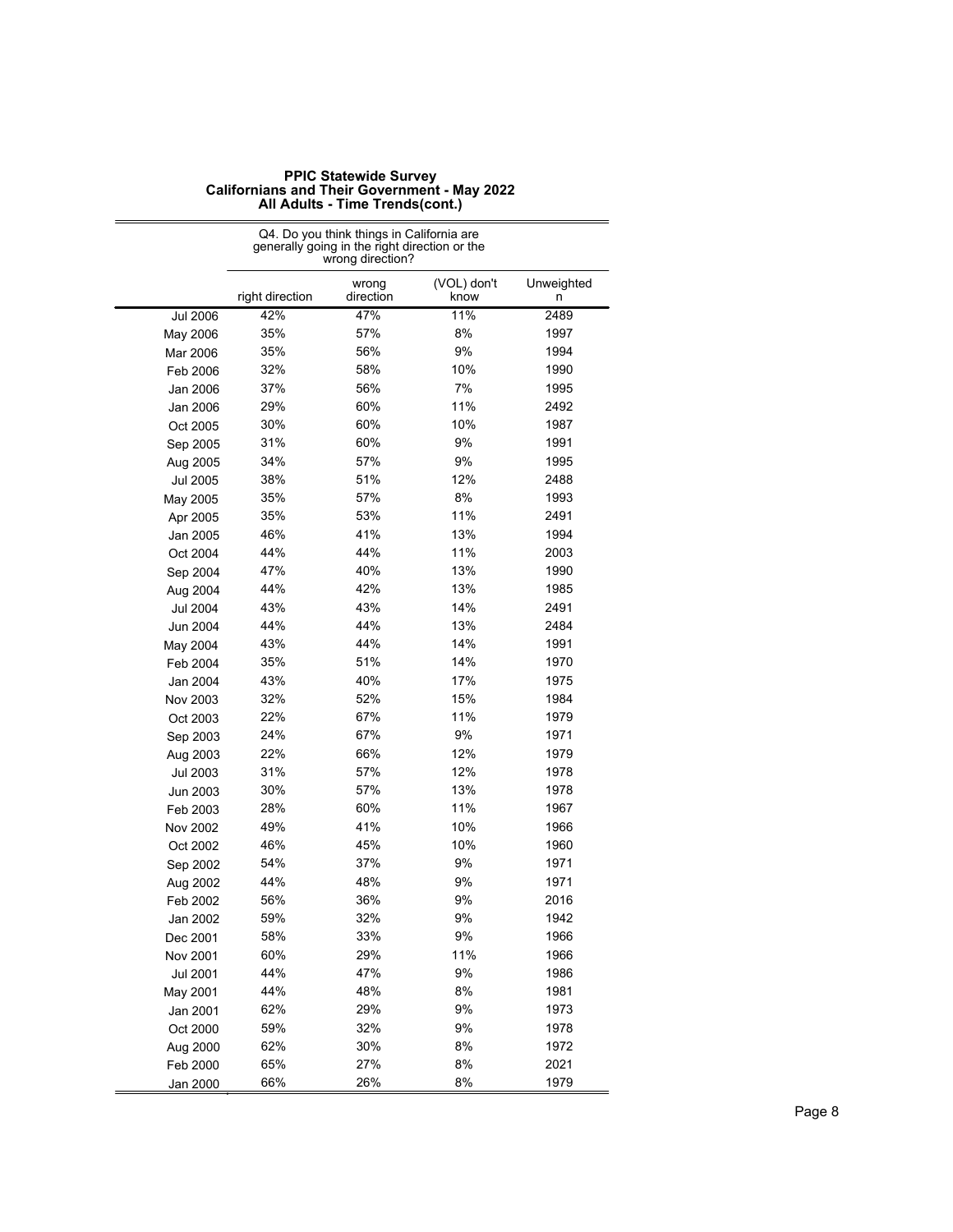|                 | Q4. Do you think things in California are<br>generally going in the right direction or the<br>wrong direction? |                    |                     |                 |  |
|-----------------|----------------------------------------------------------------------------------------------------------------|--------------------|---------------------|-----------------|--|
|                 | right direction                                                                                                | wrong<br>direction | (VOL) don't<br>know | Unweighted<br>n |  |
| <b>Jul 2006</b> | 42%                                                                                                            | 47%                | 11%                 | 2489            |  |
| May 2006        | 35%                                                                                                            | 57%                | 8%                  | 1997            |  |
| Mar 2006        | 35%                                                                                                            | 56%                | 9%                  | 1994            |  |
| Feb 2006        | 32%                                                                                                            | 58%                | 10%                 | 1990            |  |
| Jan 2006        | 37%                                                                                                            | 56%                | 7%                  | 1995            |  |
| Jan 2006        | 29%                                                                                                            | 60%                | 11%                 | 2492            |  |
| Oct 2005        | 30%                                                                                                            | 60%                | 10%                 | 1987            |  |
| Sep 2005        | 31%                                                                                                            | 60%                | 9%                  | 1991            |  |
| Aug 2005        | 34%                                                                                                            | 57%                | 9%                  | 1995            |  |
| Jul 2005        | 38%                                                                                                            | 51%                | 12%                 | 2488            |  |
| May 2005        | 35%                                                                                                            | 57%                | 8%                  | 1993            |  |
| Apr 2005        | 35%                                                                                                            | 53%                | 11%                 | 2491            |  |
| Jan 2005        | 46%                                                                                                            | 41%                | 13%                 | 1994            |  |
| Oct 2004        | 44%                                                                                                            | 44%                | 11%                 | 2003            |  |
| Sep 2004        | 47%                                                                                                            | 40%                | 13%                 | 1990            |  |
| Aug 2004        | 44%                                                                                                            | 42%                | 13%                 | 1985            |  |
| <b>Jul 2004</b> | 43%                                                                                                            | 43%                | 14%                 | 2491            |  |
| <b>Jun 2004</b> | 44%                                                                                                            | 44%                | 13%                 | 2484            |  |
| May 2004        | 43%                                                                                                            | 44%                | 14%                 | 1991            |  |
| Feb 2004        | 35%                                                                                                            | 51%                | 14%                 | 1970            |  |
| Jan 2004        | 43%                                                                                                            | 40%                | 17%                 | 1975            |  |
| Nov 2003        | 32%                                                                                                            | 52%                | 15%                 | 1984            |  |
| Oct 2003        | 22%                                                                                                            | 67%                | 11%                 | 1979            |  |
| Sep 2003        | 24%                                                                                                            | 67%                | 9%                  | 1971            |  |
| Aug 2003        | 22%                                                                                                            | 66%                | 12%                 | 1979            |  |
| <b>Jul 2003</b> | 31%                                                                                                            | 57%                | 12%                 | 1978            |  |
| Jun 2003        | 30%                                                                                                            | 57%                | 13%                 | 1978            |  |
| Feb 2003        | 28%                                                                                                            | 60%                | 11%                 | 1967            |  |
| Nov 2002        | 49%                                                                                                            | 41%                | 10%                 | 1966            |  |
| Oct 2002        | 46%                                                                                                            | 45%                | 10%                 | 1960            |  |
| Sep 2002        | 54%                                                                                                            | 37%                | 9%                  | 1971            |  |
| Aug 2002        | 44%                                                                                                            | 48%                | 9%                  | 1971            |  |
| Feb 2002        | 56%                                                                                                            | 36%                | 9%                  | 2016            |  |
| Jan 2002        | 59%                                                                                                            | 32%                | 9%                  | 1942            |  |
| Dec 2001        | 58%                                                                                                            | 33%                | 9%                  | 1966            |  |
| Nov 2001        | 60%                                                                                                            | 29%                | 11%                 | 1966            |  |
| <b>Jul 2001</b> | 44%                                                                                                            | 47%                | 9%                  | 1986            |  |
| May 2001        | 44%                                                                                                            | 48%                | 8%                  | 1981            |  |
| Jan 2001        | 62%                                                                                                            | 29%                | 9%                  | 1973            |  |
| Oct 2000        | 59%                                                                                                            | 32%                | 9%                  | 1978            |  |
| Aug 2000        | 62%                                                                                                            | 30%                | 8%                  | 1972            |  |
| Feb 2000        | 65%                                                                                                            | 27%                | 8%                  | 2021            |  |
| Jan 2000        | 66%                                                                                                            | 26%                | 8%                  | 1979            |  |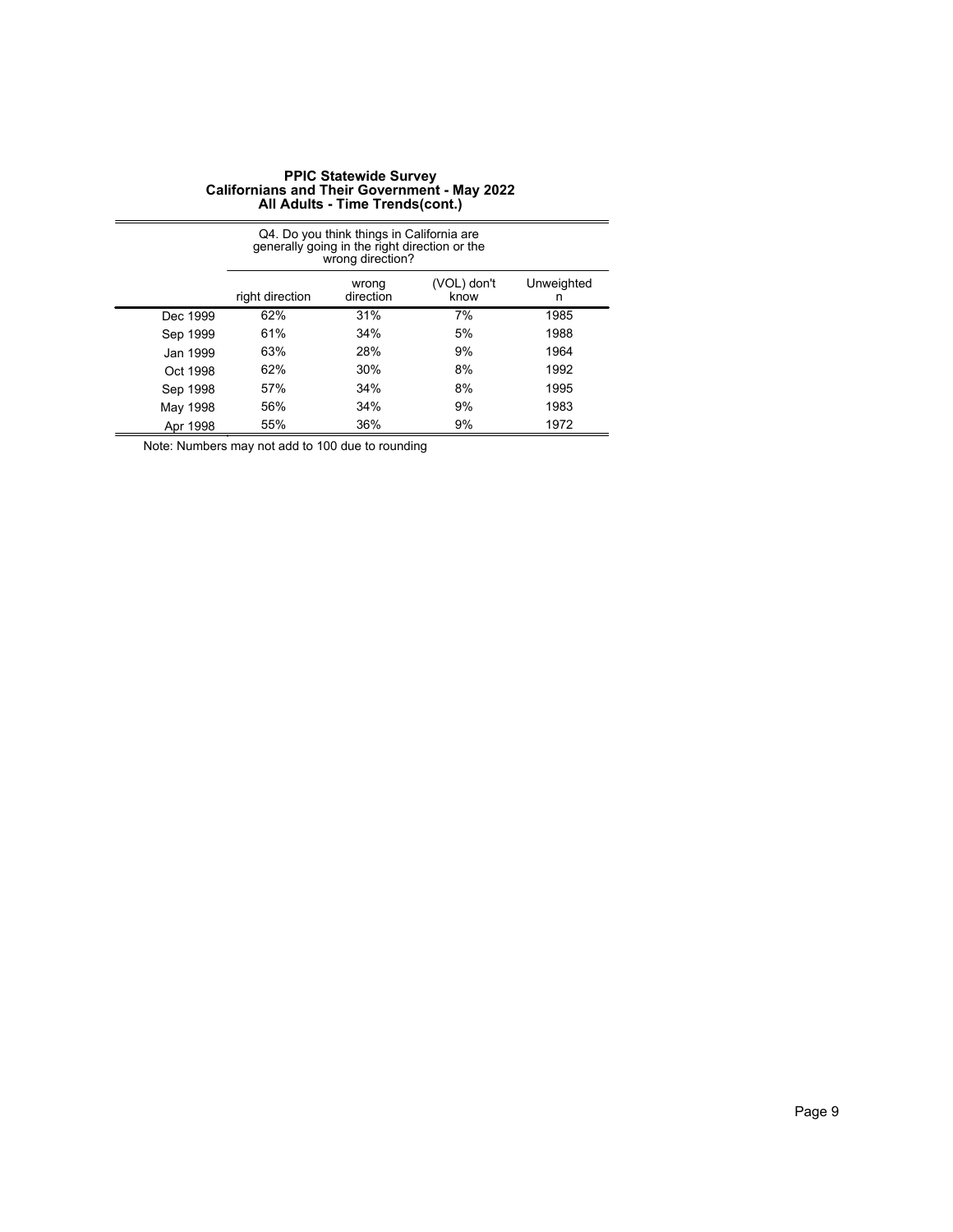|          | Q4. Do you think things in California are<br>generally going in the right direction or the<br>wrong direction? |     |    |      |  |  |
|----------|----------------------------------------------------------------------------------------------------------------|-----|----|------|--|--|
|          | (VOL) don't<br>Unweighted<br>wrong<br>direction<br>right direction<br>know<br>n                                |     |    |      |  |  |
| Dec 1999 | 62%                                                                                                            | 31% | 7% | 1985 |  |  |
| Sep 1999 | 61%                                                                                                            | 34% | 5% | 1988 |  |  |
| Jan 1999 | 63%                                                                                                            | 28% | 9% | 1964 |  |  |
| Oct 1998 | 62%                                                                                                            | 30% | 8% | 1992 |  |  |
| Sep 1998 | 57%                                                                                                            | 34% | 8% | 1995 |  |  |
| May 1998 | 56%                                                                                                            | 34% | 9% | 1983 |  |  |
| Apr 1998 | 55%                                                                                                            | 36% | 9% | 1972 |  |  |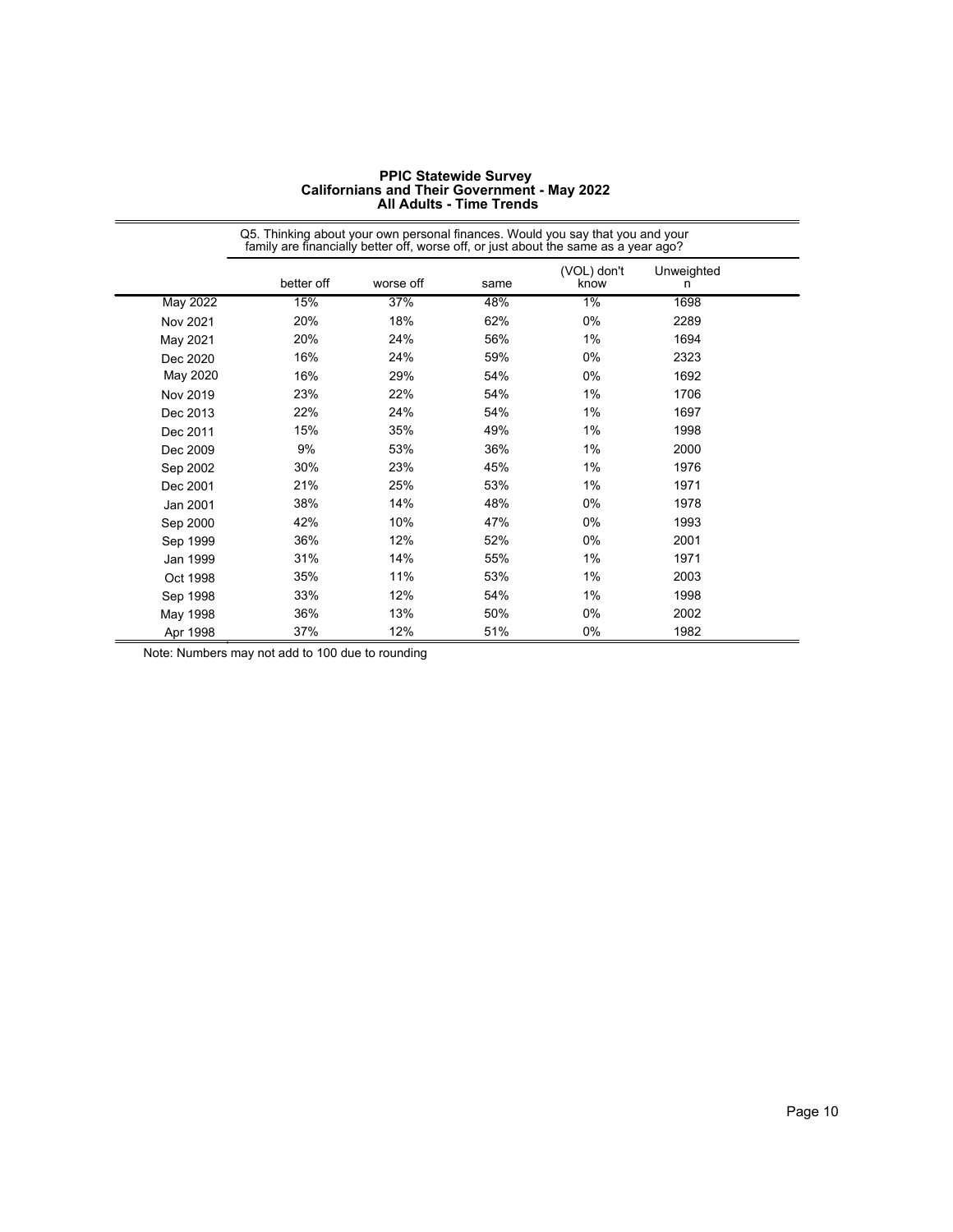|                 | Q5. Thinking about your own personal finances. Would you say that you and your<br>family are financially better off, worse off, or just about the same as a year ago? |           |      |                     |                 |  |
|-----------------|-----------------------------------------------------------------------------------------------------------------------------------------------------------------------|-----------|------|---------------------|-----------------|--|
|                 | better off                                                                                                                                                            | worse off | same | (VOL) don't<br>know | Unweighted<br>n |  |
| <b>May 2022</b> | 15%                                                                                                                                                                   | 37%       | 48%  | $1\%$               | 1698            |  |
| Nov 2021        | 20%                                                                                                                                                                   | 18%       | 62%  | 0%                  | 2289            |  |
| May 2021        | 20%                                                                                                                                                                   | 24%       | 56%  | 1%                  | 1694            |  |
| Dec 2020        | 16%                                                                                                                                                                   | 24%       | 59%  | $0\%$               | 2323            |  |
| May 2020        | 16%                                                                                                                                                                   | 29%       | 54%  | $0\%$               | 1692            |  |
| Nov 2019        | 23%                                                                                                                                                                   | 22%       | 54%  | 1%                  | 1706            |  |
| Dec 2013        | 22%                                                                                                                                                                   | 24%       | 54%  | 1%                  | 1697            |  |
| Dec 2011        | 15%                                                                                                                                                                   | 35%       | 49%  | 1%                  | 1998            |  |
| Dec 2009        | 9%                                                                                                                                                                    | 53%       | 36%  | 1%                  | 2000            |  |
| Sep 2002        | 30%                                                                                                                                                                   | 23%       | 45%  | 1%                  | 1976            |  |
| Dec 2001        | 21%                                                                                                                                                                   | 25%       | 53%  | 1%                  | 1971            |  |
| Jan 2001        | 38%                                                                                                                                                                   | 14%       | 48%  | 0%                  | 1978            |  |
| Sep 2000        | 42%                                                                                                                                                                   | 10%       | 47%  | $0\%$               | 1993            |  |
| Sep 1999        | 36%                                                                                                                                                                   | 12%       | 52%  | 0%                  | 2001            |  |
| Jan 1999        | 31%                                                                                                                                                                   | 14%       | 55%  | 1%                  | 1971            |  |
| Oct 1998        | 35%                                                                                                                                                                   | 11%       | 53%  | 1%                  | 2003            |  |
| Sep 1998        | 33%                                                                                                                                                                   | 12%       | 54%  | 1%                  | 1998            |  |
| May 1998        | 36%                                                                                                                                                                   | 13%       | 50%  | 0%                  | 2002            |  |
| Apr 1998        | 37%                                                                                                                                                                   | 12%       | 51%  | 0%                  | 1982            |  |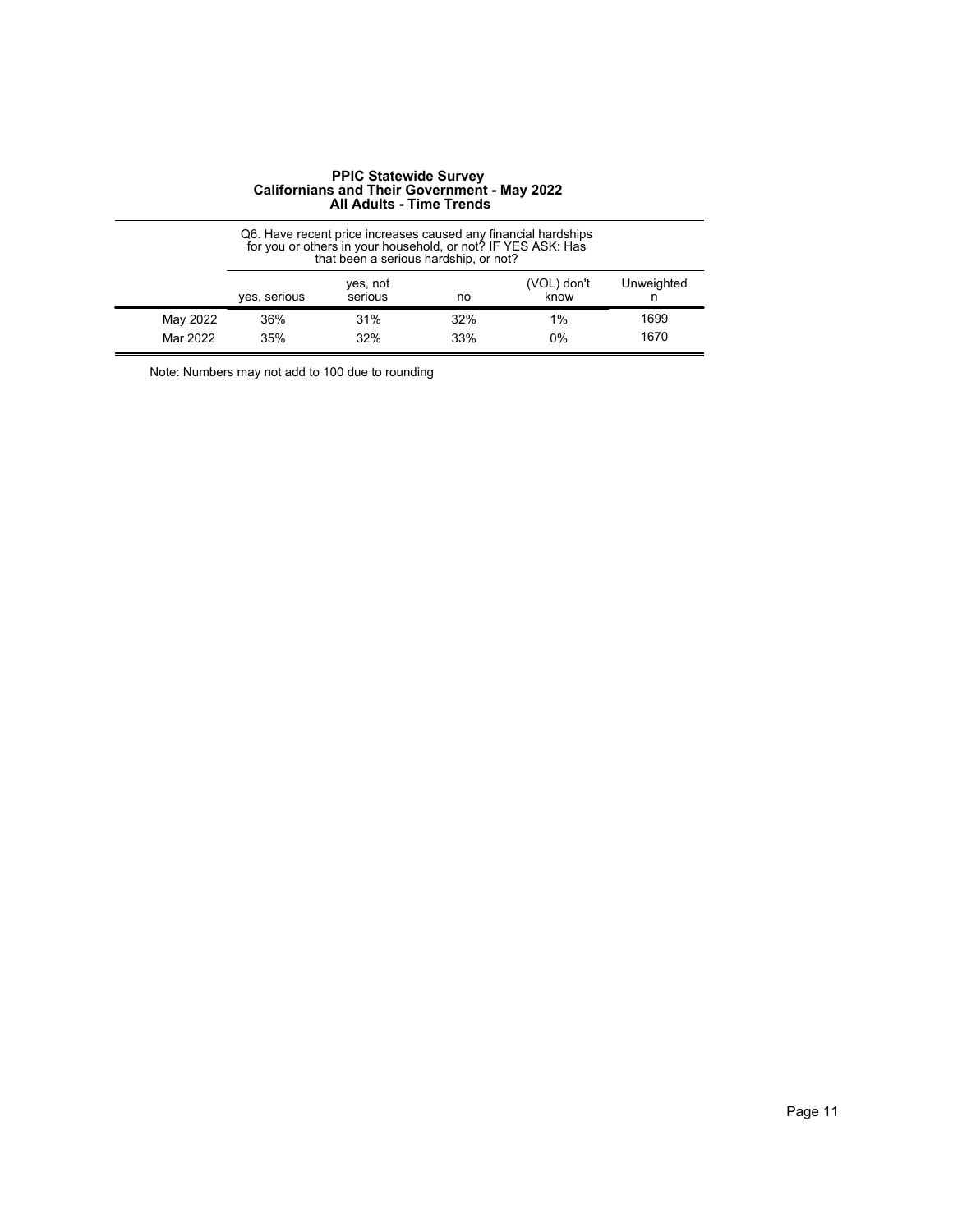|                      | Q6. Have recent price increases caused any financial hardships<br>for you or others in your household, or not? IF YES ASK: Has<br>that been a serious hardship, or not? |                     |            |                     |              |  |
|----------------------|-------------------------------------------------------------------------------------------------------------------------------------------------------------------------|---------------------|------------|---------------------|--------------|--|
|                      | yes, serious                                                                                                                                                            | yes, not<br>serious | no         | (VOL) don't<br>know | Unweighted   |  |
| May 2022<br>Mar 2022 | 36%<br>35%                                                                                                                                                              | 31%<br>32%          | 32%<br>33% | 1%<br>0%            | 1699<br>1670 |  |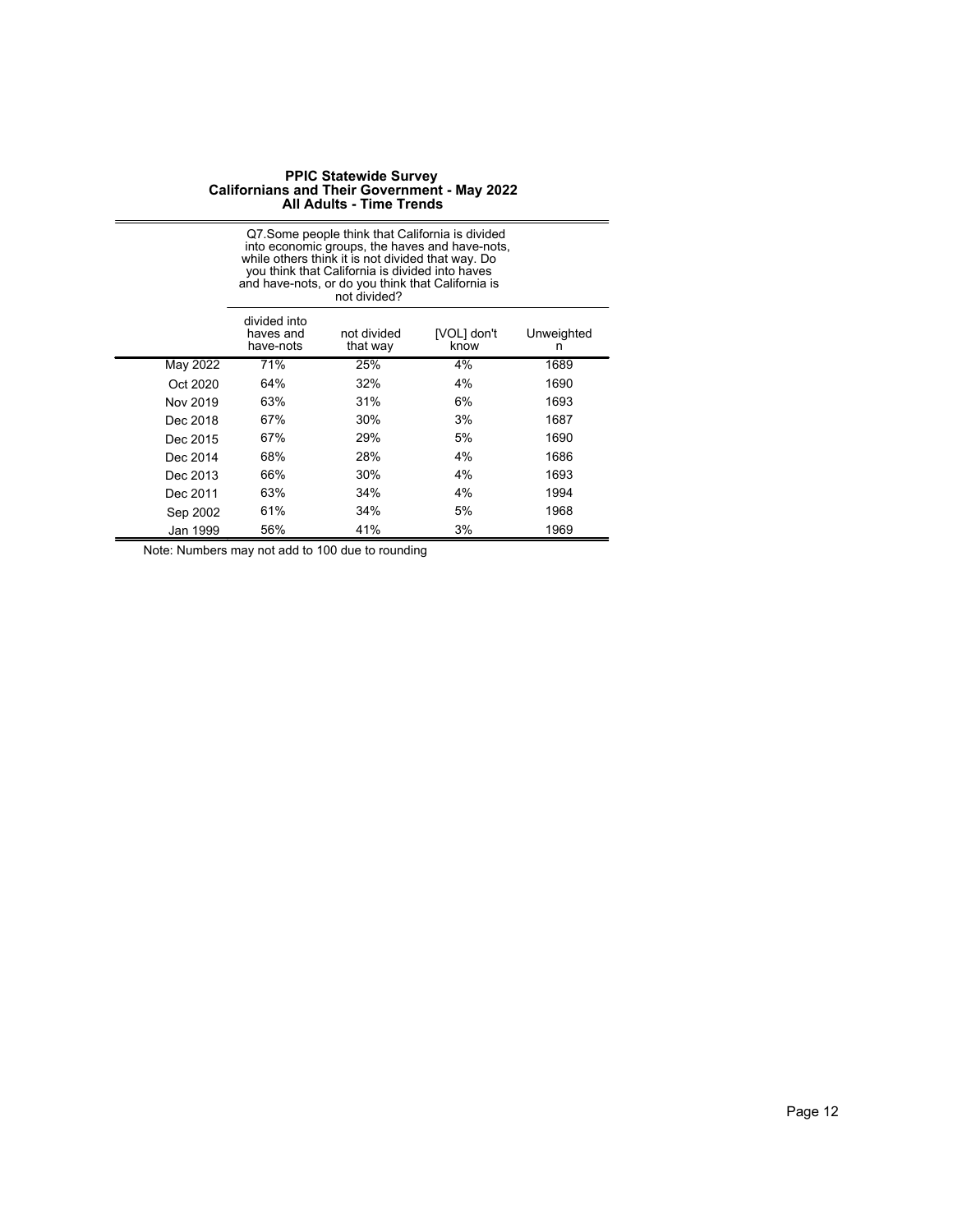|          | Q7. Some people think that California is divided<br>into economic groups, the haves and have-nots,<br>while others think it is not divided that way. Do<br>you think that California is divided into haves<br>and have-nots, or do you think that California is<br>not divided? |     |    |      |  |
|----------|---------------------------------------------------------------------------------------------------------------------------------------------------------------------------------------------------------------------------------------------------------------------------------|-----|----|------|--|
|          | divided into<br>not divided<br>[VOL] don't<br>Unweighted<br>haves and<br>have-nots<br>that way<br>know<br>n                                                                                                                                                                     |     |    |      |  |
| May 2022 | 71%                                                                                                                                                                                                                                                                             | 25% | 4% | 1689 |  |
| Oct 2020 | 64%                                                                                                                                                                                                                                                                             | 32% | 4% | 1690 |  |
| Nov 2019 | 63%                                                                                                                                                                                                                                                                             | 31% | 6% | 1693 |  |
| Dec 2018 | 67%                                                                                                                                                                                                                                                                             | 30% | 3% | 1687 |  |
| Dec 2015 | 67%                                                                                                                                                                                                                                                                             | 29% | 5% | 1690 |  |
| Dec 2014 | 68%                                                                                                                                                                                                                                                                             | 28% | 4% | 1686 |  |
| Dec 2013 | 66%                                                                                                                                                                                                                                                                             | 30% | 4% | 1693 |  |
| Dec 2011 | 63%                                                                                                                                                                                                                                                                             | 34% | 4% | 1994 |  |
| Sep 2002 | 61%                                                                                                                                                                                                                                                                             | 34% | 5% | 1968 |  |
| Jan 1999 | 56%                                                                                                                                                                                                                                                                             | 41% | 3% | 1969 |  |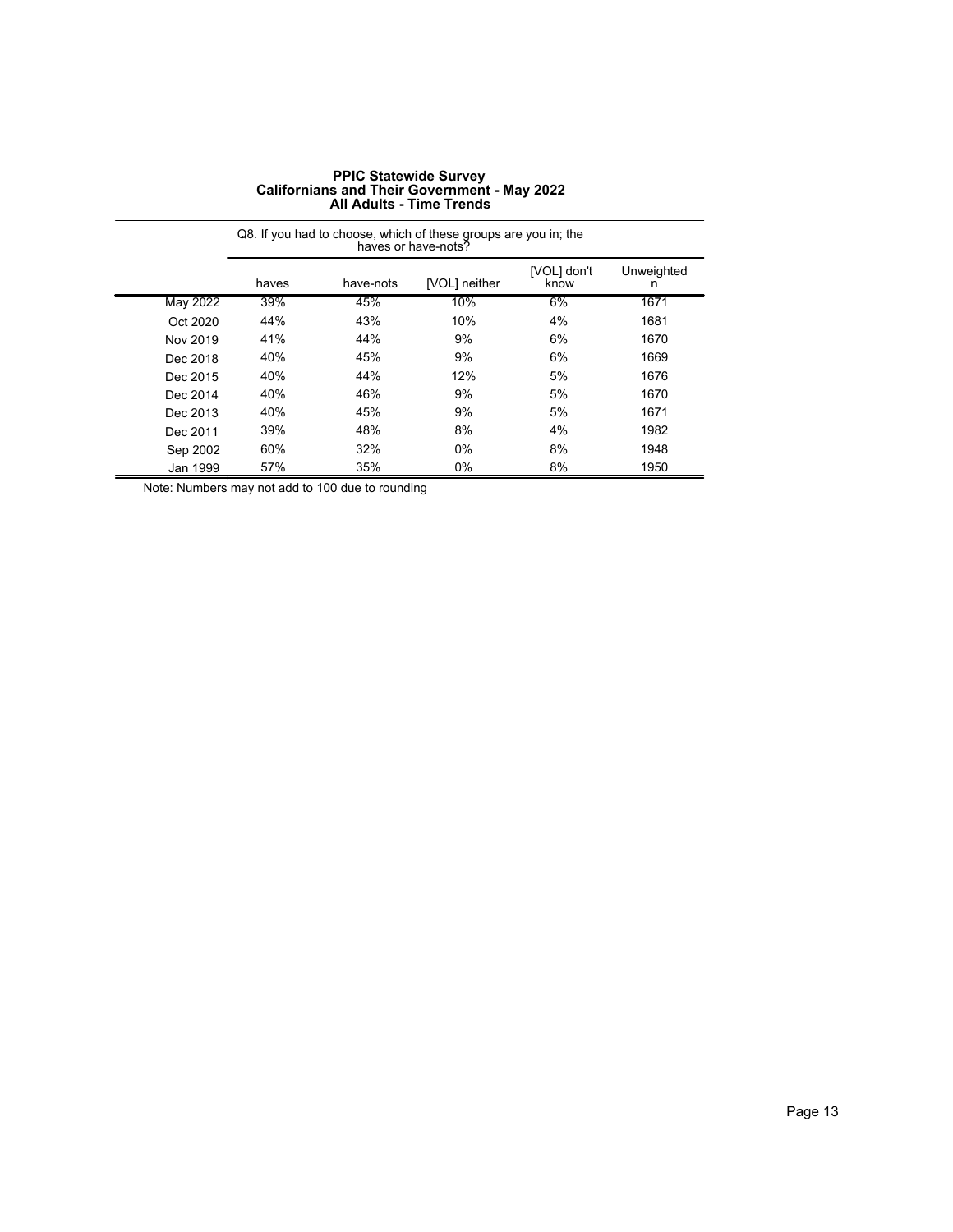|          | Q8. If you had to choose, which of these groups are you in; the<br>haves or have-nots? |     |       |    |      |  |  |
|----------|----------------------------------------------------------------------------------------|-----|-------|----|------|--|--|
|          | Unweighted<br>[VOL] don't<br>have-nots<br>[VOL] neither<br>haves<br>know               |     |       |    |      |  |  |
| May 2022 | 39%                                                                                    | 45% | 10%   | 6% | 1671 |  |  |
| Oct 2020 | 44%                                                                                    | 43% | 10%   | 4% | 1681 |  |  |
| Nov 2019 | 41%                                                                                    | 44% | 9%    | 6% | 1670 |  |  |
| Dec 2018 | 40%                                                                                    | 45% | 9%    | 6% | 1669 |  |  |
| Dec 2015 | 40%                                                                                    | 44% | 12%   | 5% | 1676 |  |  |
| Dec 2014 | 40%                                                                                    | 46% | 9%    | 5% | 1670 |  |  |
| Dec 2013 | 40%                                                                                    | 45% | 9%    | 5% | 1671 |  |  |
| Dec 2011 | 39%                                                                                    | 48% | 8%    | 4% | 1982 |  |  |
| Sep 2002 | 60%                                                                                    | 32% | 0%    | 8% | 1948 |  |  |
| Jan 1999 | 57%                                                                                    | 35% | $0\%$ | 8% | 1950 |  |  |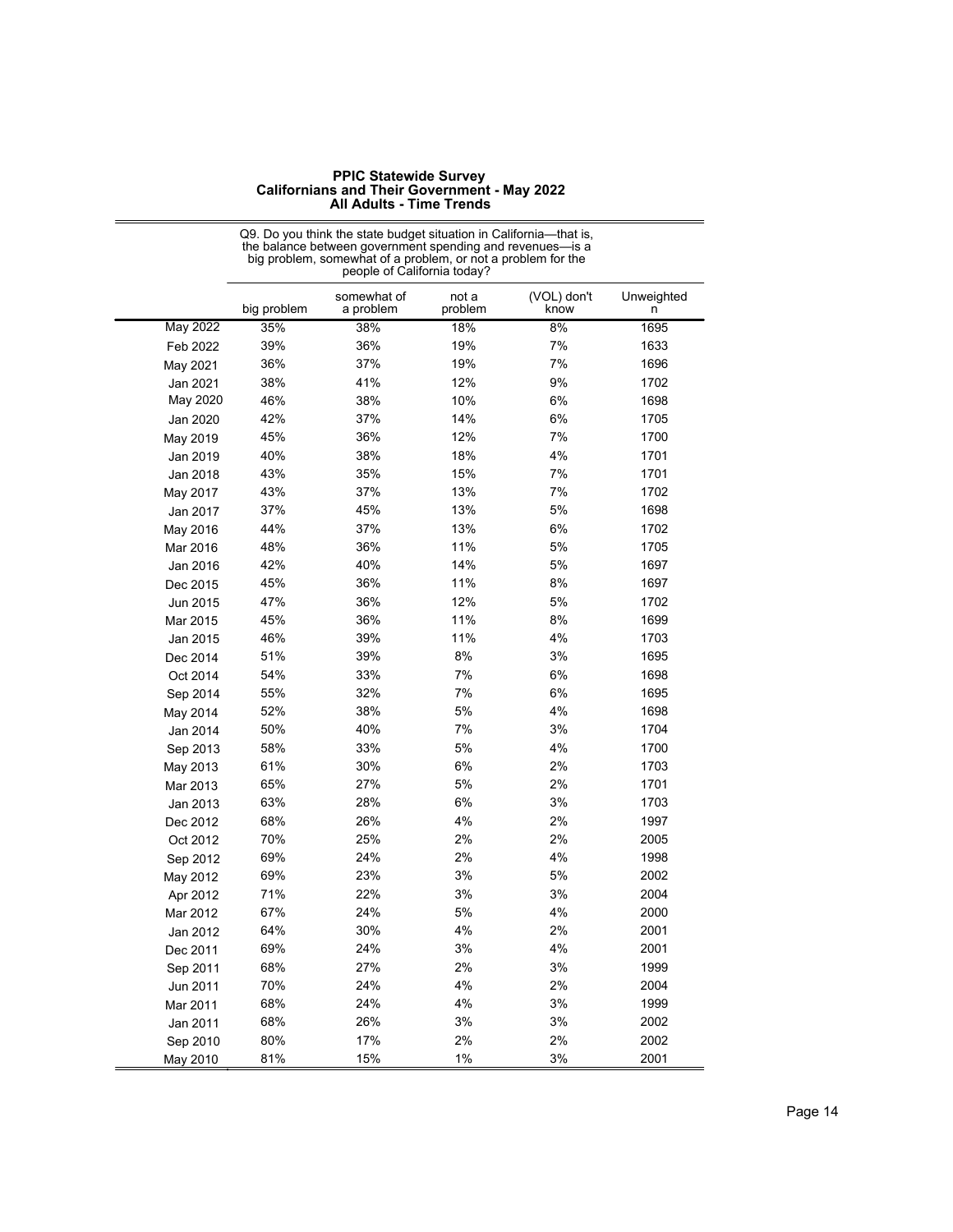|          | big problem | somewhat of<br>a problem | not a<br>problem | (VOL) don't<br>know | Unweighted<br>n |
|----------|-------------|--------------------------|------------------|---------------------|-----------------|
| May 2022 | 35%         | 38%                      | 18%              | 8%                  | 1695            |
| Feb 2022 | 39%         | 36%                      | 19%              | 7%                  | 1633            |
| May 2021 | 36%         | 37%                      | 19%              | 7%                  | 1696            |
| Jan 2021 | 38%         | 41%                      | 12%              | 9%                  | 1702            |
| May 2020 | 46%         | 38%                      | 10%              | 6%                  | 1698            |
| Jan 2020 | 42%         | 37%                      | 14%              | 6%                  | 1705            |
| May 2019 | 45%         | 36%                      | 12%              | 7%                  | 1700            |
| Jan 2019 | 40%         | 38%                      | 18%              | 4%                  | 1701            |
| Jan 2018 | 43%         | 35%                      | 15%              | 7%                  | 1701            |
| May 2017 | 43%         | 37%                      | 13%              | 7%                  | 1702            |
| Jan 2017 | 37%         | 45%                      | 13%              | 5%                  | 1698            |
| May 2016 | 44%         | 37%                      | 13%              | 6%                  | 1702            |
| Mar 2016 | 48%         | 36%                      | 11%              | 5%                  | 1705            |
| Jan 2016 | 42%         | 40%                      | 14%              | 5%                  | 1697            |
| Dec 2015 | 45%         | 36%                      | 11%              | 8%                  | 1697            |
| Jun 2015 | 47%         | 36%                      | 12%              | 5%                  | 1702            |
| Mar 2015 | 45%         | 36%                      | 11%              | 8%                  | 1699            |
| Jan 2015 | 46%         | 39%                      | 11%              | 4%                  | 1703            |
| Dec 2014 | 51%         | 39%                      | 8%               | 3%                  | 1695            |
| Oct 2014 | 54%         | 33%                      | 7%               | 6%                  | 1698            |
| Sep 2014 | 55%         | 32%                      | 7%               | 6%                  | 1695            |
| May 2014 | 52%         | 38%                      | 5%               | 4%                  | 1698            |
| Jan 2014 | 50%         | 40%                      | 7%               | 3%                  | 1704            |
| Sep 2013 | 58%         | 33%                      | 5%               | 4%                  | 1700            |
| May 2013 | 61%         | 30%                      | 6%               | 2%                  | 1703            |
| Mar 2013 | 65%         | 27%                      | 5%               | 2%                  | 1701            |
| Jan 2013 | 63%         | 28%                      | 6%               | 3%                  | 1703            |
| Dec 2012 | 68%         | 26%                      | 4%               | 2%                  | 1997            |
| Oct 2012 | 70%         | 25%                      | 2%               | 2%                  | 2005            |
| Sep 2012 | 69%         | 24%                      | 2%               | 4%                  | 1998            |
| May 2012 | 69%         | 23%                      | 3%               | 5%                  | 2002            |
| Apr 2012 | 71%         | 22%                      | 3%               | 3%                  | 2004            |
| Mar 2012 | 67%         | 24%                      | 5%               | 4%                  | 2000            |
| Jan 2012 | 64%         | 30%                      | 4%               | 2%                  | 2001            |
| Dec 2011 | 69%         | 24%                      | 3%               | 4%                  | 2001            |
| Sep 2011 | 68%         | 27%                      | 2%               | 3%                  | 1999            |
| Jun 2011 | 70%         | 24%                      | 4%               | 2%                  | 2004            |
| Mar 2011 | 68%         | 24%                      | 4%               | 3%                  | 1999            |
| Jan 2011 | 68%         | 26%                      | 3%               | 3%                  | 2002            |
| Sep 2010 | 80%         | 17%                      | 2%               | 2%                  | 2002            |
| May 2010 | 81%         | 15%                      | 1%               | 3%                  | 2001            |

Q9. Do you think the state budget situation in California—that is, the balance between government spending and revenues—is a big problem, somewhat of a problem, or not a problem for the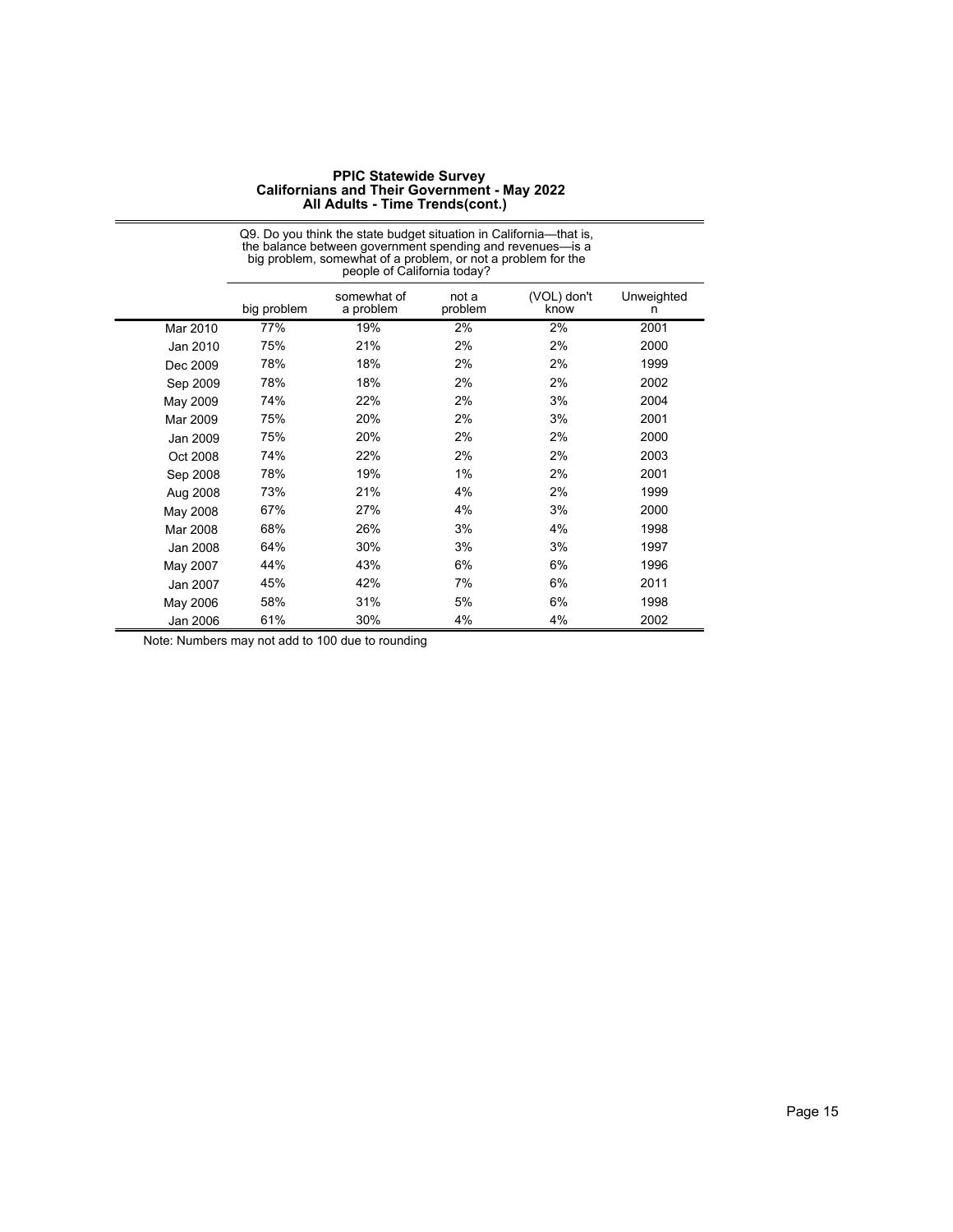|          | big problem, somewhat of a problem, or not a problem for the<br>people of California today? |                          |                  |                     |                 |
|----------|---------------------------------------------------------------------------------------------|--------------------------|------------------|---------------------|-----------------|
|          | big problem                                                                                 | somewhat of<br>a problem | not a<br>problem | (VOL) don't<br>know | Unweighted<br>n |
| Mar 2010 | 77%                                                                                         | 19%                      | 2%               | 2%                  | 2001            |
| Jan 2010 | 75%                                                                                         | 21%                      | 2%               | 2%                  | 2000            |
| Dec 2009 | 78%                                                                                         | 18%                      | 2%               | 2%                  | 1999            |
| Sep 2009 | 78%                                                                                         | 18%                      | 2%               | 2%                  | 2002            |
| May 2009 | 74%                                                                                         | 22%                      | 2%               | 3%                  | 2004            |
| Mar 2009 | 75%                                                                                         | 20%                      | 2%               | 3%                  | 2001            |
| Jan 2009 | 75%                                                                                         | 20%                      | 2%               | 2%                  | 2000            |
| Oct 2008 | 74%                                                                                         | 22%                      | 2%               | 2%                  | 2003            |
| Sep 2008 | 78%                                                                                         | 19%                      | 1%               | 2%                  | 2001            |
| Aug 2008 | 73%                                                                                         | 21%                      | 4%               | 2%                  | 1999            |
| May 2008 | 67%                                                                                         | 27%                      | 4%               | 3%                  | 2000            |
| Mar 2008 | 68%                                                                                         | 26%                      | 3%               | 4%                  | 1998            |
| Jan 2008 | 64%                                                                                         | 30%                      | 3%               | 3%                  | 1997            |
| May 2007 | 44%                                                                                         | 43%                      | 6%               | 6%                  | 1996            |
| Jan 2007 | 45%                                                                                         | 42%                      | 7%               | 6%                  | 2011            |
| May 2006 | 58%                                                                                         | 31%                      | 5%               | 6%                  | 1998            |
| Jan 2006 | 61%                                                                                         | 30%                      | 4%               | 4%                  | 2002            |

Q9. Do you think the state budget situation in California—that is, the balance between government spending and revenues—is a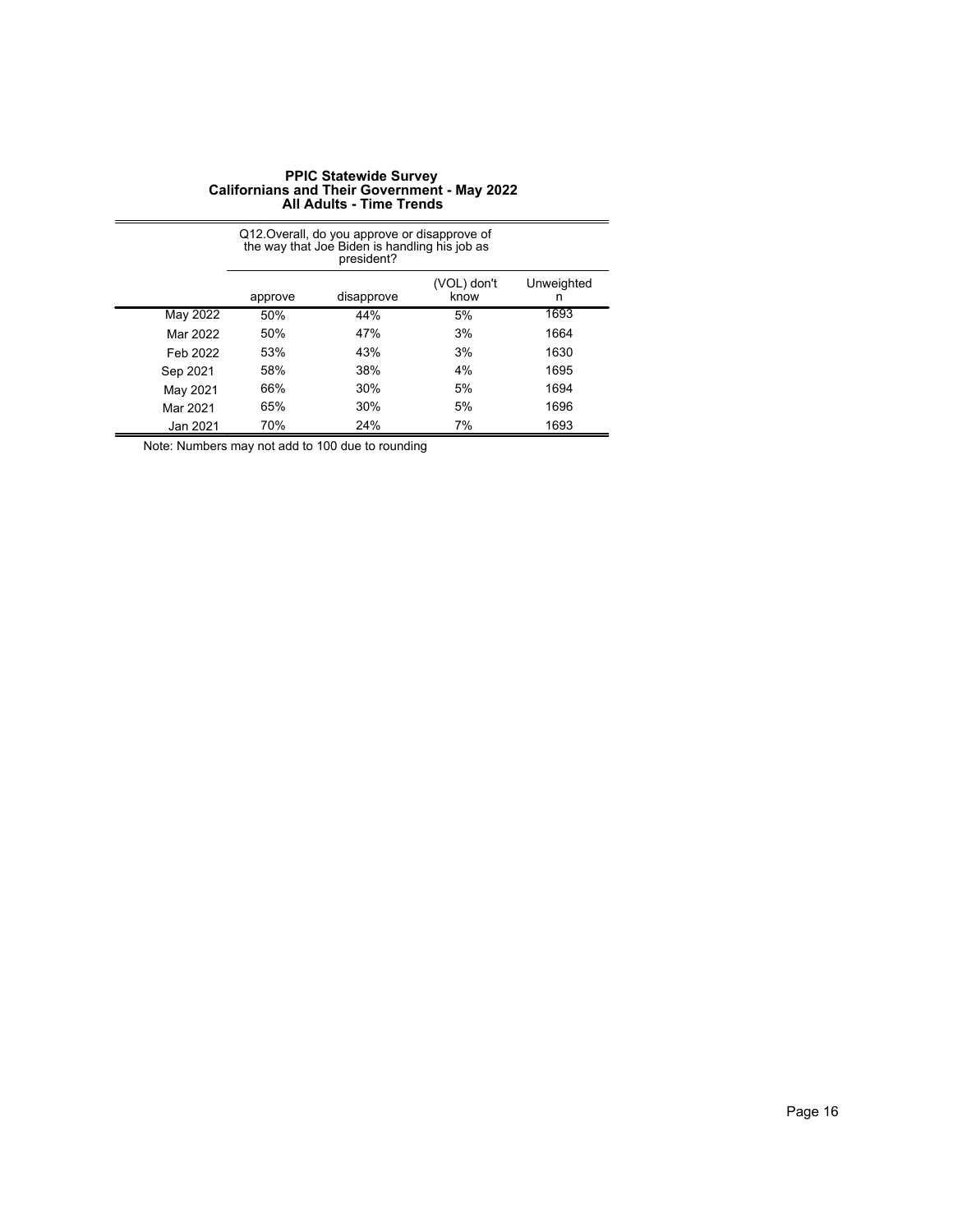|          | Q12. Overall, do you approve or disapprove of<br>the way that Joe Biden is handling his job as<br>president? |            |                     |                 |  |  |
|----------|--------------------------------------------------------------------------------------------------------------|------------|---------------------|-----------------|--|--|
|          | approve                                                                                                      | disapprove | (VOL) don't<br>know | Unweighted<br>n |  |  |
| May 2022 | 50%                                                                                                          | 44%        | 5%                  | 1693            |  |  |
| Mar 2022 | 50%                                                                                                          | 47%        | 3%                  | 1664            |  |  |
| Feb 2022 | 53%                                                                                                          | 43%        | 3%                  | 1630            |  |  |
| Sep 2021 | 58%                                                                                                          | 38%        | 4%                  | 1695            |  |  |
| May 2021 | 66%                                                                                                          | 30%        | 5%                  | 1694            |  |  |
| Mar 2021 | 65%                                                                                                          | 30%        | 5%                  | 1696            |  |  |
| Jan 2021 | 70%                                                                                                          | 24%        | 7%                  | 1693            |  |  |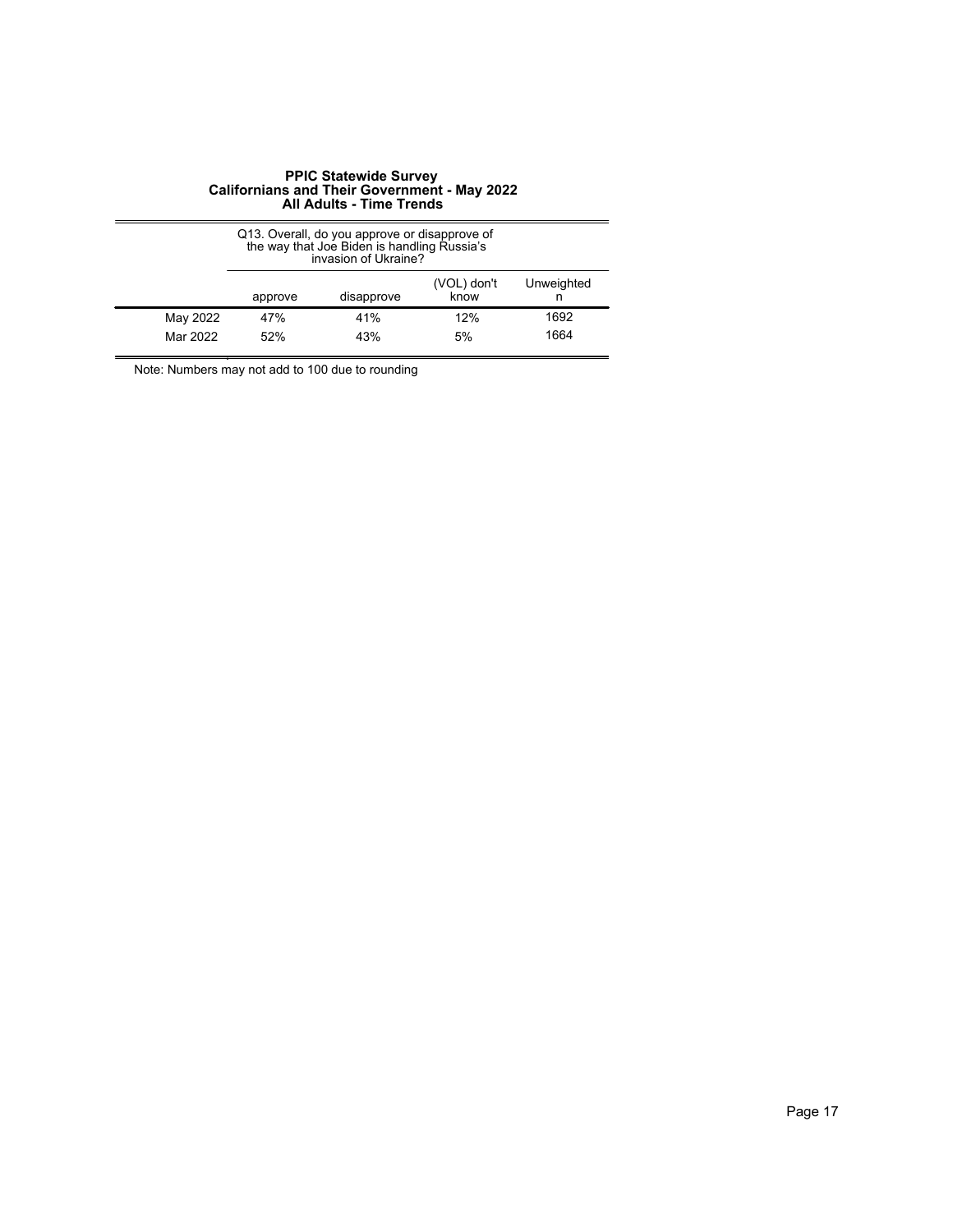|                      | Q13. Overall, do you approve or disapprove of<br>the way that Joe Biden is handling Russia's<br>invasion of Ukraine? |            |                     |              |  |
|----------------------|----------------------------------------------------------------------------------------------------------------------|------------|---------------------|--------------|--|
|                      | approve                                                                                                              | disapprove | (VOL) don't<br>know | Unweighted   |  |
| May 2022<br>Mar 2022 | 47%<br>52%                                                                                                           | 41%<br>43% | 12%<br>5%           | 1692<br>1664 |  |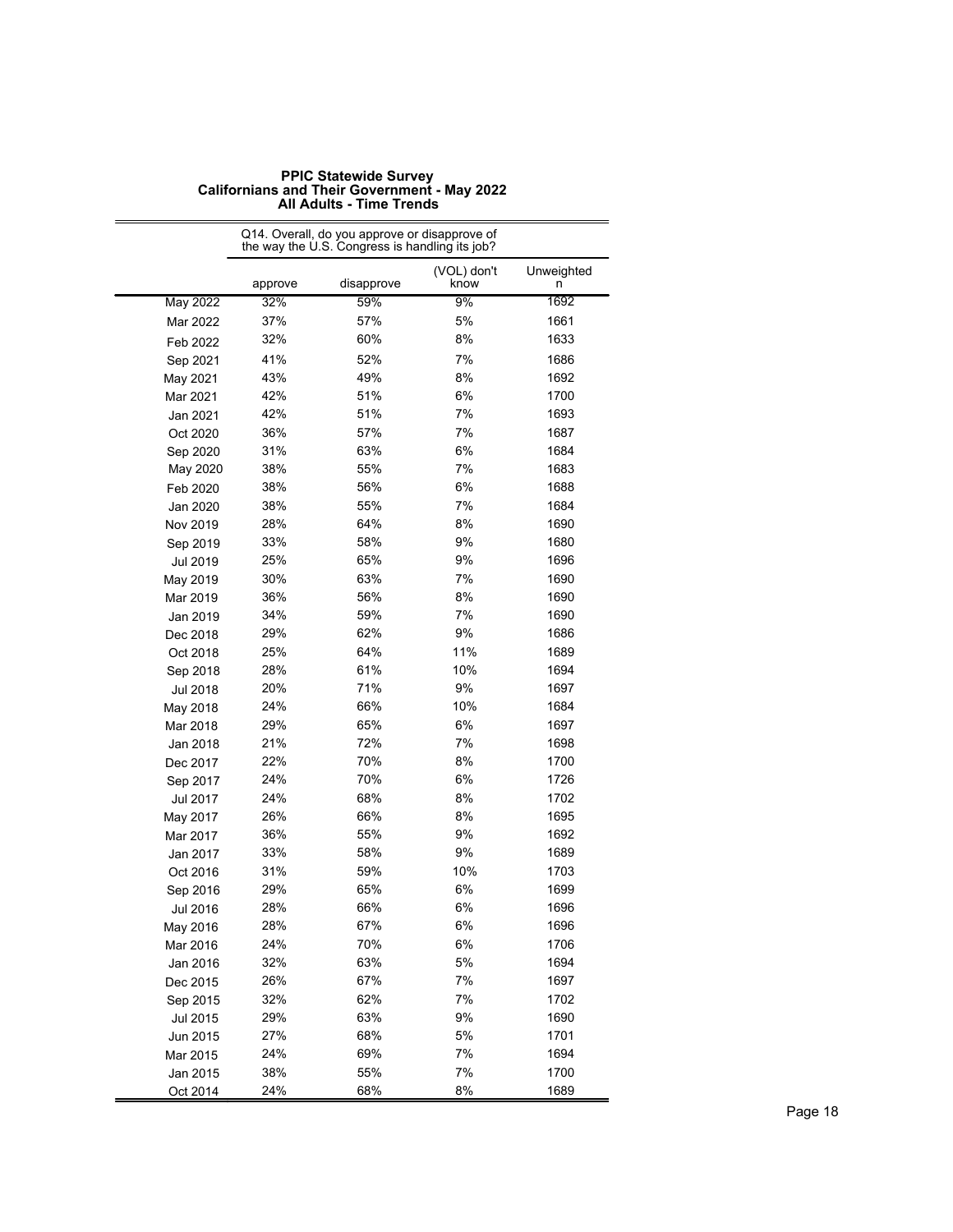|                 |         | Q14. Overall, do you approve or disapprove of<br>the way the U.S. Congress is handling its job? |                     |                 |
|-----------------|---------|-------------------------------------------------------------------------------------------------|---------------------|-----------------|
|                 | approve | disapprove                                                                                      | (VOL) don't<br>know | Unweighted<br>n |
| <b>May 2022</b> | 32%     | 59%                                                                                             | 9%                  | 1692            |
| Mar 2022        | 37%     | 57%                                                                                             | 5%                  | 1661            |
| Feb 2022        | 32%     | 60%                                                                                             | 8%                  | 1633            |
| Sep 2021        | 41%     | 52%                                                                                             | 7%                  | 1686            |
| May 2021        | 43%     | 49%                                                                                             | 8%                  | 1692            |
| Mar 2021        | 42%     | 51%                                                                                             | 6%                  | 1700            |
| Jan 2021        | 42%     | 51%                                                                                             | 7%                  | 1693            |
| Oct 2020        | 36%     | 57%                                                                                             | 7%                  | 1687            |
| Sep 2020        | 31%     | 63%                                                                                             | 6%                  | 1684            |
| May 2020        | 38%     | 55%                                                                                             | 7%                  | 1683            |
| Feb 2020        | 38%     | 56%                                                                                             | 6%                  | 1688            |
| Jan 2020        | 38%     | 55%                                                                                             | 7%                  | 1684            |
| Nov 2019        | 28%     | 64%                                                                                             | 8%                  | 1690            |
| Sep 2019        | 33%     | 58%                                                                                             | 9%                  | 1680            |
| Jul 2019        | 25%     | 65%                                                                                             | 9%                  | 1696            |
| May 2019        | 30%     | 63%                                                                                             | 7%                  | 1690            |
| Mar 2019        | 36%     | 56%                                                                                             | 8%                  | 1690            |
| Jan 2019        | 34%     | 59%                                                                                             | 7%                  | 1690            |
| Dec 2018        | 29%     | 62%                                                                                             | 9%                  | 1686            |
| Oct 2018        | 25%     | 64%                                                                                             | 11%                 | 1689            |
| Sep 2018        | 28%     | 61%                                                                                             | 10%                 | 1694            |
| Jul 2018        | 20%     | 71%                                                                                             | 9%                  | 1697            |
| May 2018        | 24%     | 66%                                                                                             | 10%                 | 1684            |
| Mar 2018        | 29%     | 65%                                                                                             | 6%                  | 1697            |
| Jan 2018        | 21%     | 72%                                                                                             | 7%                  | 1698            |
| Dec 2017        | 22%     | 70%                                                                                             | 8%                  | 1700            |
| Sep 2017        | 24%     | 70%                                                                                             | 6%                  | 1726            |
| Jul 2017        | 24%     | 68%                                                                                             | 8%                  | 1702            |
| May 2017        | 26%     | 66%                                                                                             | 8%                  | 1695            |
| Mar 2017        | 36%     | 55%                                                                                             | 9%                  | 1692            |
| Jan 2017        | 33%     | 58%                                                                                             | 9%                  | 1689            |
| Oct 2016        | 31%     | 59%                                                                                             | 10%                 | 1703            |
| Sep 2016        | 29%     | 65%                                                                                             | 6%                  | 1699            |
| <b>Jul 2016</b> | 28%     | 66%                                                                                             | 6%                  | 1696            |
| May 2016        | 28%     | 67%                                                                                             | 6%                  | 1696            |
| Mar 2016        | 24%     | 70%                                                                                             | 6%                  | 1706            |
| Jan 2016        | 32%     | 63%                                                                                             | 5%                  | 1694            |
| Dec 2015        | 26%     | 67%                                                                                             | 7%                  | 1697            |
| Sep 2015        | 32%     | 62%                                                                                             | 7%                  | 1702            |
| Jul 2015        | 29%     | 63%                                                                                             | 9%                  | 1690            |
| Jun 2015        | 27%     | 68%                                                                                             | 5%                  | 1701            |
| Mar 2015        | 24%     | 69%                                                                                             | 7%                  | 1694            |
| Jan 2015        | 38%     | 55%                                                                                             | 7%                  | 1700            |
| Oct 2014        | 24%     | 68%                                                                                             | 8%                  | 1689            |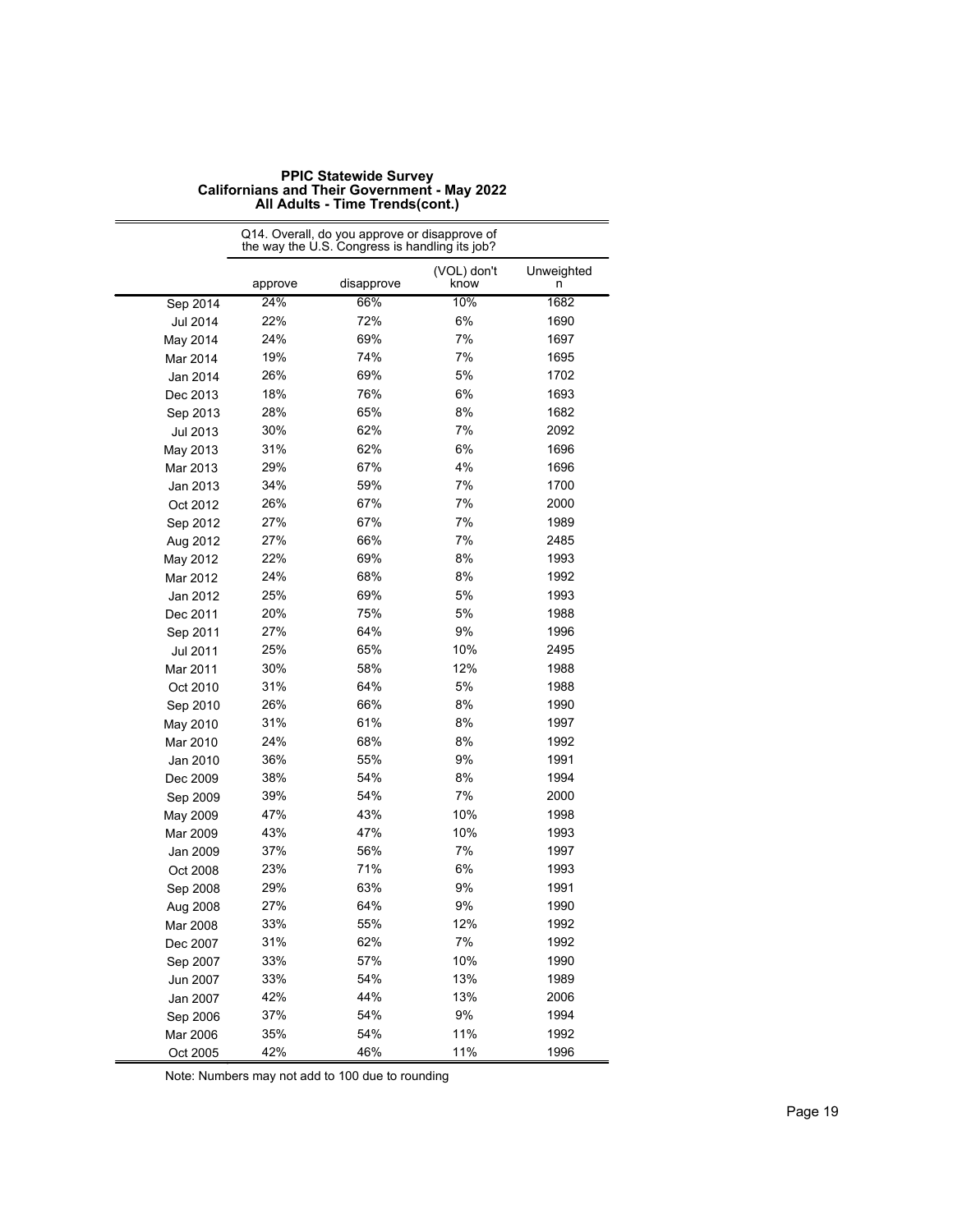|                 | Q14. Overall, do you approve or disapprove of<br>the way the U.S. Congress is handling its job? |            |                     |                 |  |
|-----------------|-------------------------------------------------------------------------------------------------|------------|---------------------|-----------------|--|
|                 | approve                                                                                         | disapprove | (VOL) don't<br>know | Unweighted<br>n |  |
| Sep 2014        | 24%                                                                                             | 66%        | 10%                 | 1682            |  |
| <b>Jul 2014</b> | 22%                                                                                             | 72%        | 6%                  | 1690            |  |
| May 2014        | 24%                                                                                             | 69%        | 7%                  | 1697            |  |
| Mar 2014        | 19%                                                                                             | 74%        | 7%                  | 1695            |  |
| Jan 2014        | 26%                                                                                             | 69%        | 5%                  | 1702            |  |
| Dec 2013        | 18%                                                                                             | 76%        | 6%                  | 1693            |  |
| Sep 2013        | 28%                                                                                             | 65%        | 8%                  | 1682            |  |
| <b>Jul 2013</b> | 30%                                                                                             | 62%        | 7%                  | 2092            |  |
| May 2013        | 31%                                                                                             | 62%        | 6%                  | 1696            |  |
| Mar 2013        | 29%                                                                                             | 67%        | 4%                  | 1696            |  |
| Jan 2013        | 34%                                                                                             | 59%        | 7%                  | 1700            |  |
| Oct 2012        | 26%                                                                                             | 67%        | 7%                  | 2000            |  |
| Sep 2012        | 27%                                                                                             | 67%        | 7%                  | 1989            |  |
| Aug 2012        | 27%                                                                                             | 66%        | 7%                  | 2485            |  |
| May 2012        | 22%                                                                                             | 69%        | 8%                  | 1993            |  |
| Mar 2012        | 24%                                                                                             | 68%        | 8%                  | 1992            |  |
| Jan 2012        | 25%                                                                                             | 69%        | 5%                  | 1993            |  |
| Dec 2011        | 20%                                                                                             | 75%        | 5%                  | 1988            |  |
| Sep 2011        | 27%                                                                                             | 64%        | 9%                  | 1996            |  |
| Jul 2011        | 25%                                                                                             | 65%        | 10%                 | 2495            |  |
| Mar 2011        | 30%                                                                                             | 58%        | 12%                 | 1988            |  |
| Oct 2010        | 31%                                                                                             | 64%        | 5%                  | 1988            |  |
| Sep 2010        | 26%                                                                                             | 66%        | 8%                  | 1990            |  |
| May 2010        | 31%                                                                                             | 61%        | 8%                  | 1997            |  |
| Mar 2010        | 24%                                                                                             | 68%        | 8%                  | 1992            |  |
| Jan 2010        | 36%                                                                                             | 55%        | 9%                  | 1991            |  |
| Dec 2009        | 38%                                                                                             | 54%        | 8%                  | 1994            |  |
| Sep 2009        | 39%                                                                                             | 54%        | 7%                  | 2000            |  |
| May 2009        | 47%                                                                                             | 43%        | 10%                 | 1998            |  |
| Mar 2009        | 43%                                                                                             | 47%        | 10%                 | 1993            |  |
| Jan 2009        | 37%                                                                                             | 56%        | 7%                  | 1997            |  |
| Oct 2008        | 23%                                                                                             | 71%        | 6%                  | 1993            |  |
| Sep 2008        | 29%                                                                                             | 63%        | 9%                  | 1991            |  |
| Aug 2008        | 27%                                                                                             | 64%        | 9%                  | 1990            |  |
| Mar 2008        | 33%                                                                                             | 55%        | 12%                 | 1992            |  |
| Dec 2007        | 31%                                                                                             | 62%        | 7%                  | 1992            |  |
| Sep 2007        | 33%                                                                                             | 57%        | 10%                 | 1990            |  |
| Jun 2007        | 33%                                                                                             | 54%        | 13%                 | 1989            |  |
| Jan 2007        | 42%                                                                                             | 44%        | 13%                 | 2006            |  |
| Sep 2006        | 37%                                                                                             | 54%        | 9%                  | 1994            |  |
| Mar 2006        | 35%                                                                                             | 54%        | 11%                 | 1992            |  |
| Oct 2005        | 42%                                                                                             | 46%        | 11%                 | 1996            |  |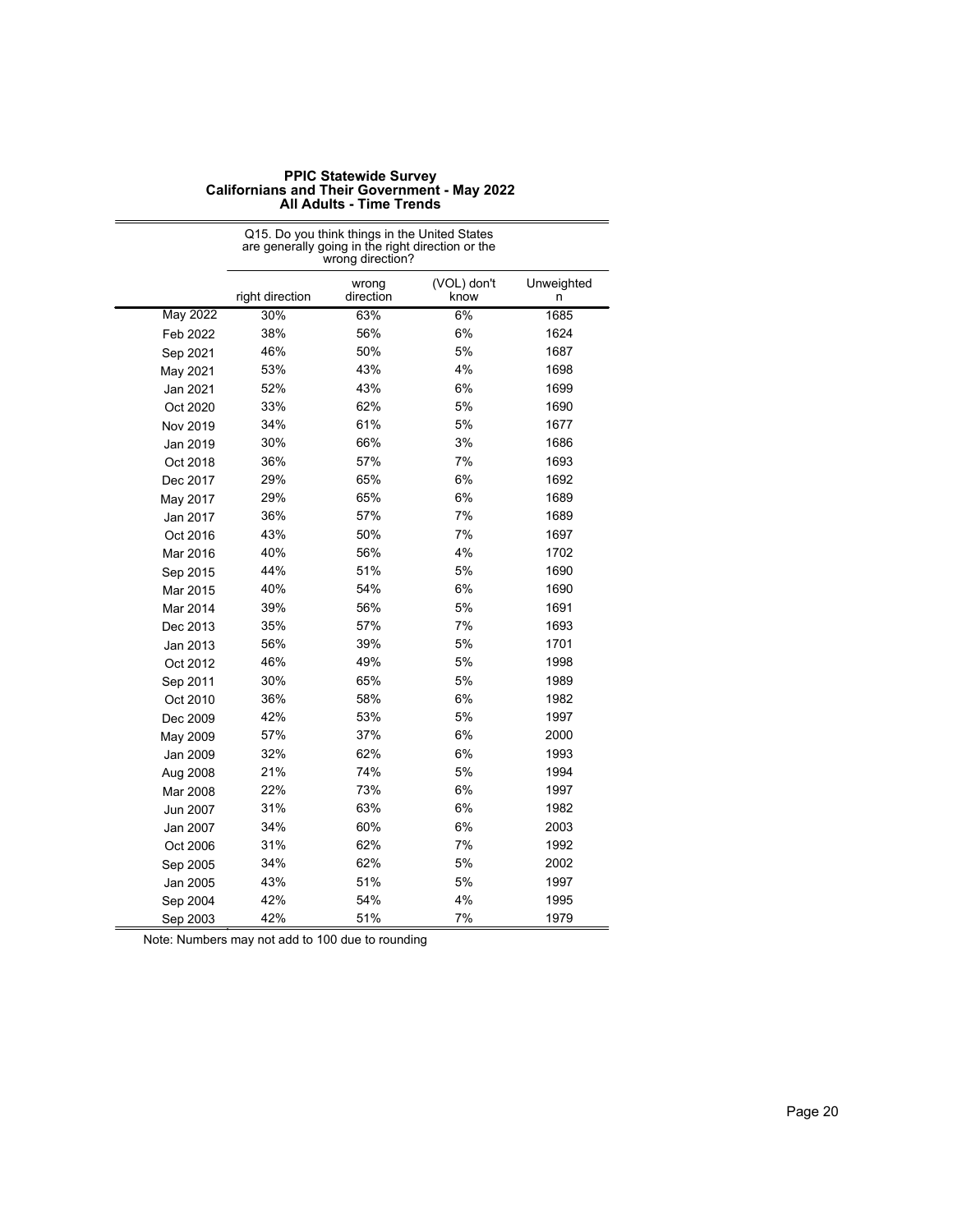|          | Q15. Do you think things in the United States<br>are generally going in the right direction or the<br>wrong direction? |                    |                     |                 |  |  |
|----------|------------------------------------------------------------------------------------------------------------------------|--------------------|---------------------|-----------------|--|--|
|          | right direction                                                                                                        | wrong<br>direction | (VOL) don't<br>know | Unweighted<br>n |  |  |
| May 2022 | 30%                                                                                                                    | 63%                | 6%                  | 1685            |  |  |
| Feb 2022 | 38%                                                                                                                    | 56%                | 6%                  | 1624            |  |  |
| Sep 2021 | 46%                                                                                                                    | 50%                | 5%                  | 1687            |  |  |
| May 2021 | 53%                                                                                                                    | 43%                | 4%                  | 1698            |  |  |
| Jan 2021 | 52%                                                                                                                    | 43%                | 6%                  | 1699            |  |  |
| Oct 2020 | 33%                                                                                                                    | 62%                | 5%                  | 1690            |  |  |
| Nov 2019 | 34%                                                                                                                    | 61%                | 5%                  | 1677            |  |  |
| Jan 2019 | 30%                                                                                                                    | 66%                | 3%                  | 1686            |  |  |
| Oct 2018 | 36%                                                                                                                    | 57%                | 7%                  | 1693            |  |  |
| Dec 2017 | 29%                                                                                                                    | 65%                | 6%                  | 1692            |  |  |
| May 2017 | 29%                                                                                                                    | 65%                | 6%                  | 1689            |  |  |
| Jan 2017 | 36%                                                                                                                    | 57%                | 7%                  | 1689            |  |  |
| Oct 2016 | 43%                                                                                                                    | 50%                | 7%                  | 1697            |  |  |
| Mar 2016 | 40%                                                                                                                    | 56%                | 4%                  | 1702            |  |  |
| Sep 2015 | 44%                                                                                                                    | 51%                | 5%                  | 1690            |  |  |
| Mar 2015 | 40%                                                                                                                    | 54%                | 6%                  | 1690            |  |  |
| Mar 2014 | 39%                                                                                                                    | 56%                | 5%                  | 1691            |  |  |
| Dec 2013 | 35%                                                                                                                    | 57%                | 7%                  | 1693            |  |  |
| Jan 2013 | 56%                                                                                                                    | 39%                | 5%                  | 1701            |  |  |
| Oct 2012 | 46%                                                                                                                    | 49%                | 5%                  | 1998            |  |  |
| Sep 2011 | 30%                                                                                                                    | 65%                | 5%                  | 1989            |  |  |
| Oct 2010 | 36%                                                                                                                    | 58%                | 6%                  | 1982            |  |  |
| Dec 2009 | 42%                                                                                                                    | 53%                | 5%                  | 1997            |  |  |
| May 2009 | 57%                                                                                                                    | 37%                | 6%                  | 2000            |  |  |
| Jan 2009 | 32%                                                                                                                    | 62%                | 6%                  | 1993            |  |  |
| Aug 2008 | 21%                                                                                                                    | 74%                | 5%                  | 1994            |  |  |
| Mar 2008 | 22%                                                                                                                    | 73%                | 6%                  | 1997            |  |  |
| Jun 2007 | 31%                                                                                                                    | 63%                | 6%                  | 1982            |  |  |
| Jan 2007 | 34%                                                                                                                    | 60%                | 6%                  | 2003            |  |  |
| Oct 2006 | 31%                                                                                                                    | 62%                | 7%                  | 1992            |  |  |
| Sep 2005 | 34%                                                                                                                    | 62%                | 5%                  | 2002            |  |  |
| Jan 2005 | 43%                                                                                                                    | 51%                | 5%                  | 1997            |  |  |
| Sep 2004 | 42%                                                                                                                    | 54%                | 4%                  | 1995            |  |  |
| Sep 2003 | 42%                                                                                                                    | 51%                | 7%                  | 1979            |  |  |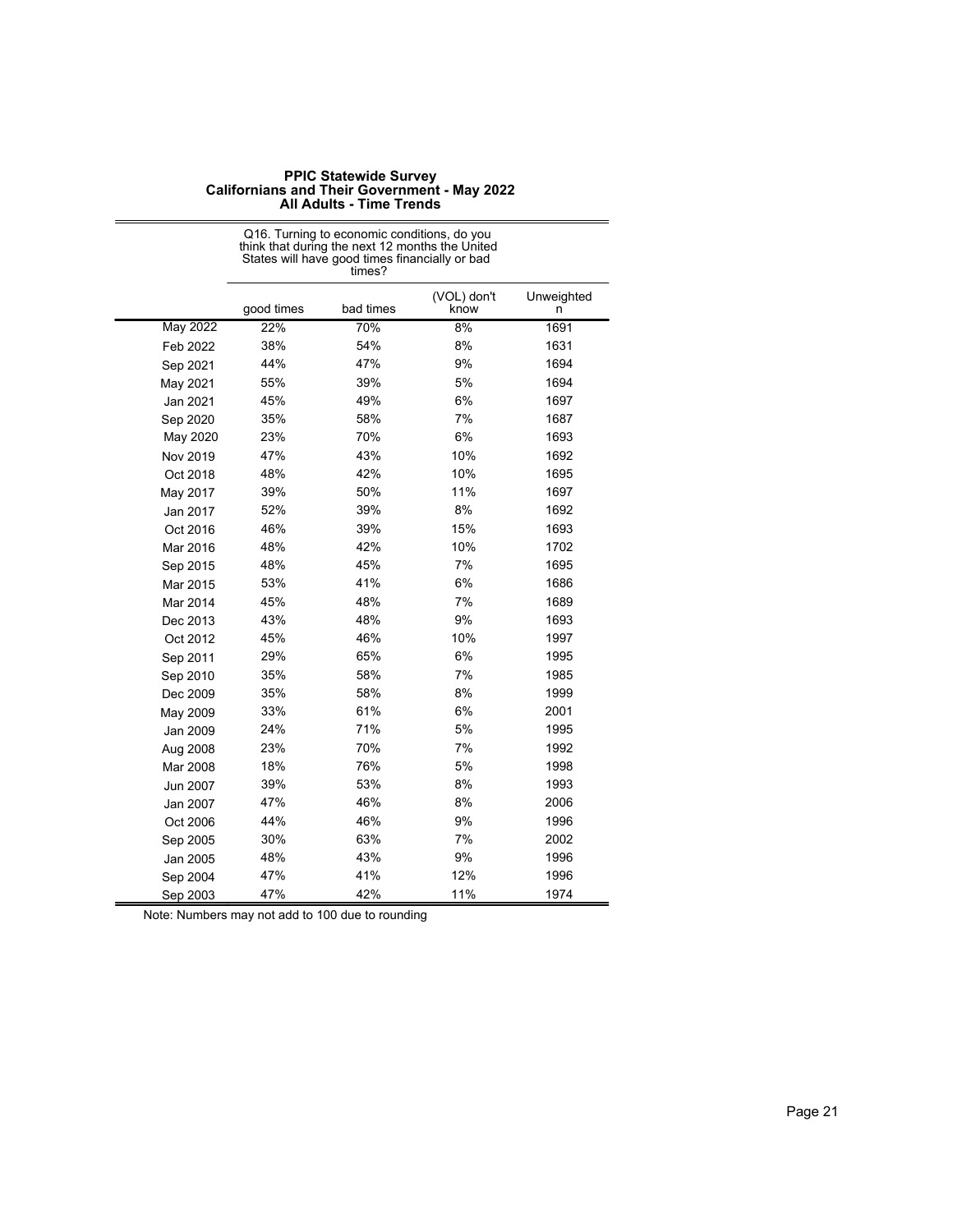|                 | States will have good times financially or bad<br>times? |           |                     |                 |  |
|-----------------|----------------------------------------------------------|-----------|---------------------|-----------------|--|
|                 | good times                                               | bad times | (VOL) don't<br>know | Unweighted<br>n |  |
| <b>May 2022</b> | 22%                                                      | 70%       | 8%                  | 1691            |  |
| Feb 2022        | 38%                                                      | 54%       | 8%                  | 1631            |  |
| Sep 2021        | 44%                                                      | 47%       | 9%                  | 1694            |  |
| May 2021        | 55%                                                      | 39%       | 5%                  | 1694            |  |
| Jan 2021        | 45%                                                      | 49%       | 6%                  | 1697            |  |
| Sep 2020        | 35%                                                      | 58%       | 7%                  | 1687            |  |
| May 2020        | 23%                                                      | 70%       | 6%                  | 1693            |  |
| Nov 2019        | 47%                                                      | 43%       | 10%                 | 1692            |  |
| Oct 2018        | 48%                                                      | 42%       | 10%                 | 1695            |  |
| May 2017        | 39%                                                      | 50%       | 11%                 | 1697            |  |
| Jan 2017        | 52%                                                      | 39%       | 8%                  | 1692            |  |
| Oct 2016        | 46%                                                      | 39%       | 15%                 | 1693            |  |
| Mar 2016        | 48%                                                      | 42%       | 10%                 | 1702            |  |
| Sep 2015        | 48%                                                      | 45%       | 7%                  | 1695            |  |
| Mar 2015        | 53%                                                      | 41%       | 6%                  | 1686            |  |
| Mar 2014        | 45%                                                      | 48%       | 7%                  | 1689            |  |
| Dec 2013        | 43%                                                      | 48%       | 9%                  | 1693            |  |
| Oct 2012        | 45%                                                      | 46%       | 10%                 | 1997            |  |
| Sep 2011        | 29%                                                      | 65%       | 6%                  | 1995            |  |
| Sep 2010        | 35%                                                      | 58%       | 7%                  | 1985            |  |
| Dec 2009        | 35%                                                      | 58%       | 8%                  | 1999            |  |
| May 2009        | 33%                                                      | 61%       | 6%                  | 2001            |  |
| Jan 2009        | 24%                                                      | 71%       | 5%                  | 1995            |  |
| Aug 2008        | 23%                                                      | 70%       | 7%                  | 1992            |  |
| Mar 2008        | 18%                                                      | 76%       | 5%                  | 1998            |  |
| Jun 2007        | 39%                                                      | 53%       | 8%                  | 1993            |  |
| Jan 2007        | 47%                                                      | 46%       | 8%                  | 2006            |  |
| Oct 2006        | 44%                                                      | 46%       | 9%                  | 1996            |  |
| Sep 2005        | 30%                                                      | 63%       | 7%                  | 2002            |  |
| Jan 2005        | 48%                                                      | 43%       | 9%                  | 1996            |  |
| Sep 2004        | 47%                                                      | 41%       | 12%                 | 1996            |  |
| Sep 2003        | 47%                                                      | 42%       | 11%                 | 1974            |  |

Q16. Turning to economic conditions, do you think that during the next 12 months the United States will have good times financially or bad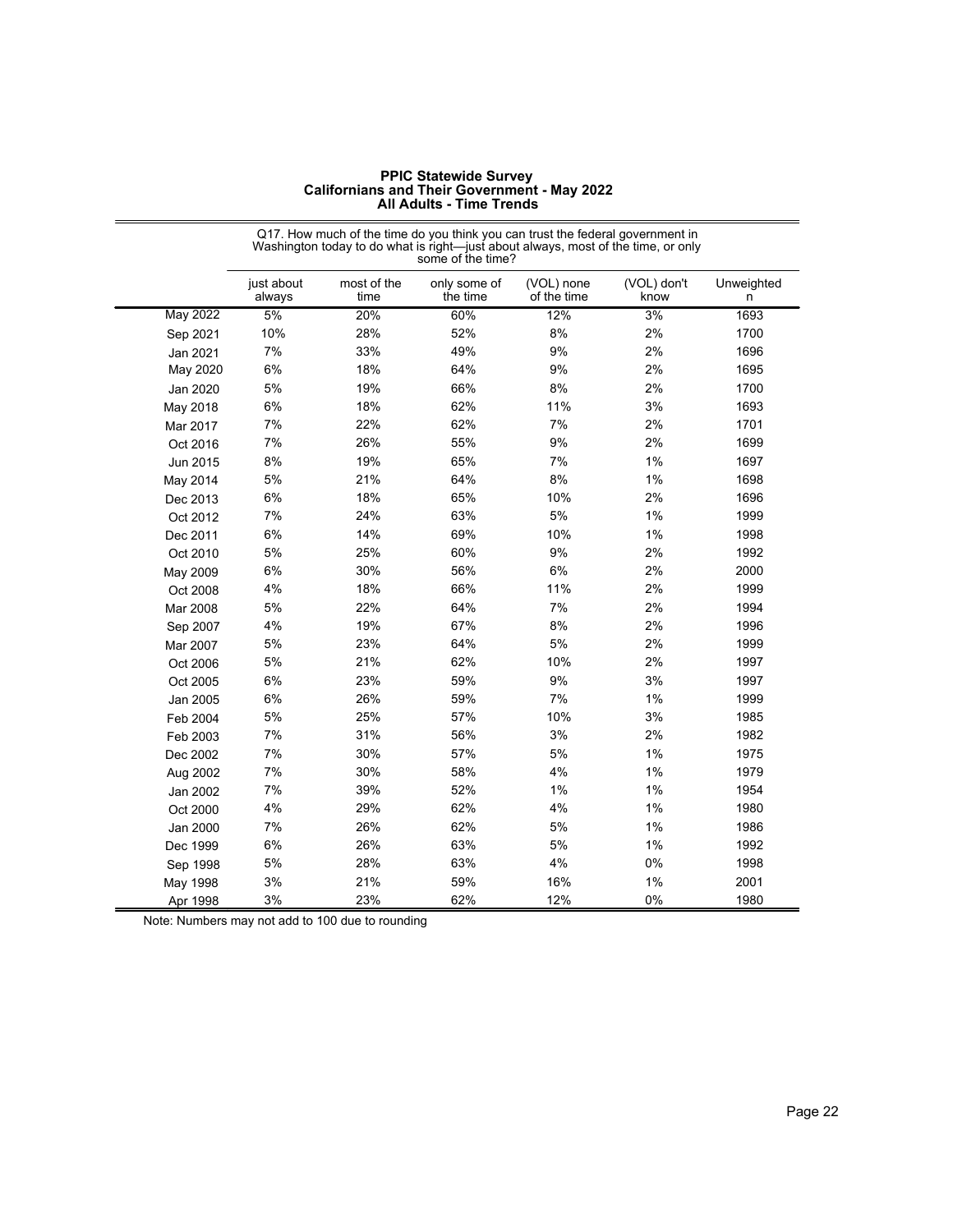|      |                                                                                                                                                                                          | , ,,, , ,,,,,,,     | ,,,,,,,,,,,,,,,,,        |                           |                     |  |  |
|------|------------------------------------------------------------------------------------------------------------------------------------------------------------------------------------------|---------------------|--------------------------|---------------------------|---------------------|--|--|
|      | Q17. How much of the time do you think you can trust the federal government in<br>Washington today to do what is right—just about always, most of the time, or only<br>some of the time? |                     |                          |                           |                     |  |  |
|      | just about<br>always                                                                                                                                                                     | most of the<br>time | only some of<br>the time | (VOL) none<br>of the time | (VOL) don't<br>know |  |  |
| 2022 | 5%                                                                                                                                                                                       | 20%                 | 60%                      | 12%                       | 3%                  |  |  |
| 2021 | 10%                                                                                                                                                                                      | 28%                 | 52%                      | 8%                        | 2%                  |  |  |
| 2021 | 7%                                                                                                                                                                                       | 33%                 | 49%                      | 9%                        | 2%                  |  |  |
| 2020 | 6%                                                                                                                                                                                       | 18%                 | 64%                      | 9%                        | 2%                  |  |  |
| 2020 | 5%                                                                                                                                                                                       | 19%                 | 66%                      | 8%                        | 2%                  |  |  |
| 2018 | 6%                                                                                                                                                                                       | 18%                 | 62%                      | 11%                       | 3%                  |  |  |
| 017  | 7%                                                                                                                                                                                       | 22%                 | 62%                      | 7%                        | 2%                  |  |  |
|      |                                                                                                                                                                                          |                     |                          |                           |                     |  |  |

| <b>PPIC Statewide Survey</b>                        |
|-----------------------------------------------------|
| <b>Californians and Their Government - May 2022</b> |
| <b>All Adults - Time Trends</b>                     |

|                 | just about<br>always | most of the<br>time | only some of<br>the time | (VOL) none<br>of the time | (VOL) don't<br>know | Unweighted<br>n |
|-----------------|----------------------|---------------------|--------------------------|---------------------------|---------------------|-----------------|
| <b>May 2022</b> | 5%                   | 20%                 | 60%                      | 12%                       | 3%                  | 1693            |
| Sep 2021        | 10%                  | 28%                 | 52%                      | 8%                        | 2%                  | 1700            |
| Jan 2021        | 7%                   | 33%                 | 49%                      | 9%                        | 2%                  | 1696            |
| May 2020        | 6%                   | 18%                 | 64%                      | $9%$                      | 2%                  | 1695            |
| Jan 2020        | 5%                   | 19%                 | 66%                      | 8%                        | 2%                  | 1700            |
| May 2018        | 6%                   | 18%                 | 62%                      | 11%                       | 3%                  | 1693            |
| Mar 2017        | 7%                   | 22%                 | 62%                      | 7%                        | 2%                  | 1701            |
| Oct 2016        | 7%                   | 26%                 | 55%                      | 9%                        | 2%                  | 1699            |
| Jun 2015        | 8%                   | 19%                 | 65%                      | 7%                        | 1%                  | 1697            |
| May 2014        | 5%                   | 21%                 | 64%                      | 8%                        | 1%                  | 1698            |
| Dec 2013        | 6%                   | 18%                 | 65%                      | 10%                       | 2%                  | 1696            |
| Oct 2012        | 7%                   | 24%                 | 63%                      | 5%                        | 1%                  | 1999            |
| Dec 2011        | 6%                   | 14%                 | 69%                      | 10%                       | 1%                  | 1998            |
| Oct 2010        | 5%                   | 25%                 | 60%                      | 9%                        | 2%                  | 1992            |
| May 2009        | 6%                   | 30%                 | 56%                      | 6%                        | 2%                  | 2000            |
| Oct 2008        | 4%                   | 18%                 | 66%                      | 11%                       | 2%                  | 1999            |
| Mar 2008        | 5%                   | 22%                 | 64%                      | 7%                        | 2%                  | 1994            |
| Sep 2007        | 4%                   | 19%                 | 67%                      | 8%                        | 2%                  | 1996            |
| Mar 2007        | 5%                   | 23%                 | 64%                      | 5%                        | 2%                  | 1999            |
| Oct 2006        | 5%                   | 21%                 | 62%                      | 10%                       | 2%                  | 1997            |
| Oct 2005        | 6%                   | 23%                 | 59%                      | 9%                        | 3%                  | 1997            |
| Jan 2005        | 6%                   | 26%                 | 59%                      | 7%                        | 1%                  | 1999            |
| Feb 2004        | 5%                   | 25%                 | 57%                      | 10%                       | 3%                  | 1985            |
| Feb 2003        | 7%                   | 31%                 | 56%                      | 3%                        | 2%                  | 1982            |
| Dec 2002        | 7%                   | 30%                 | 57%                      | 5%                        | 1%                  | 1975            |
| Aug 2002        | 7%                   | 30%                 | 58%                      | 4%                        | 1%                  | 1979            |
| Jan 2002        | 7%                   | 39%                 | 52%                      | 1%                        | 1%                  | 1954            |
| Oct 2000        | 4%                   | 29%                 | 62%                      | 4%                        | 1%                  | 1980            |
| Jan 2000        | 7%                   | 26%                 | 62%                      | 5%                        | 1%                  | 1986            |
| Dec 1999        | 6%                   | 26%                 | 63%                      | 5%                        | 1%                  | 1992            |
| Sep 1998        | 5%                   | 28%                 | 63%                      | 4%                        | 0%                  | 1998            |
| May 1998        | 3%                   | 21%                 | 59%                      | 16%                       | 1%                  | 2001            |
| Apr 1998        | 3%                   | 23%                 | 62%                      | 12%                       | 0%                  | 1980            |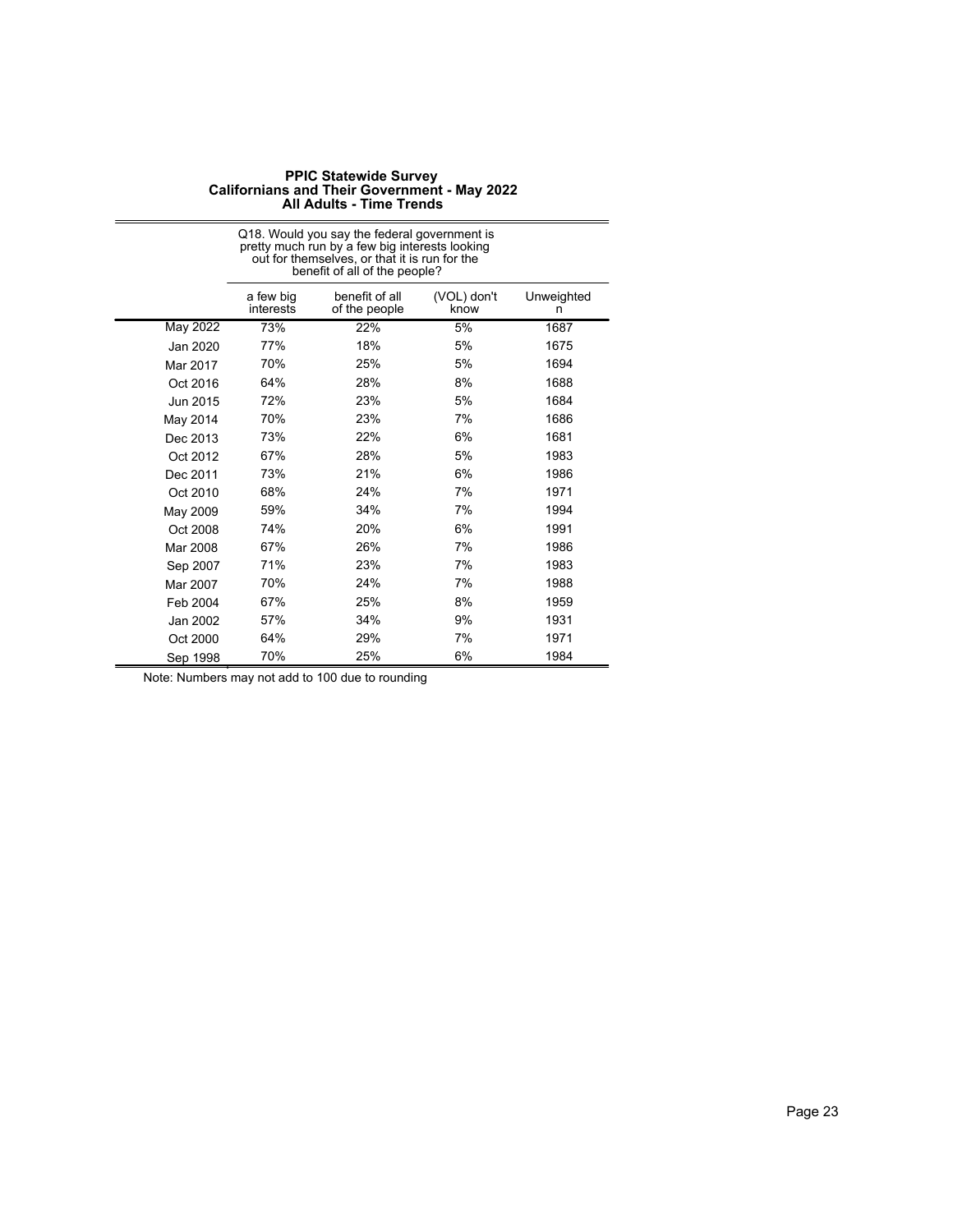|          | Q18. Would you say the federal government is<br>pretty much run by a few big interests looking<br>out for themselves, or that it is run for the<br>benefit of all of the people? |                                 |                     |                 |  |
|----------|----------------------------------------------------------------------------------------------------------------------------------------------------------------------------------|---------------------------------|---------------------|-----------------|--|
|          | a few big<br>interests                                                                                                                                                           | benefit of all<br>of the people | (VOL) don't<br>know | Unweighted<br>n |  |
| May 2022 | 73%                                                                                                                                                                              | 22%                             | 5%                  | 1687            |  |
| Jan 2020 | 77%                                                                                                                                                                              | 18%                             | 5%                  | 1675            |  |
| Mar 2017 | 70%                                                                                                                                                                              | 25%                             | 5%                  | 1694            |  |
| Oct 2016 | 64%                                                                                                                                                                              | 28%                             | 8%                  | 1688            |  |
| Jun 2015 | 72%                                                                                                                                                                              | 23%                             | 5%                  | 1684            |  |
| May 2014 | 70%                                                                                                                                                                              | 23%                             | 7%                  | 1686            |  |
| Dec 2013 | 73%                                                                                                                                                                              | 22%                             | 6%                  | 1681            |  |
| Oct 2012 | 67%                                                                                                                                                                              | 28%                             | 5%                  | 1983            |  |
| Dec 2011 | 73%                                                                                                                                                                              | 21%                             | 6%                  | 1986            |  |
| Oct 2010 | 68%                                                                                                                                                                              | 24%                             | 7%                  | 1971            |  |
| May 2009 | 59%                                                                                                                                                                              | 34%                             | 7%                  | 1994            |  |
| Oct 2008 | 74%                                                                                                                                                                              | 20%                             | 6%                  | 1991            |  |
| Mar 2008 | 67%                                                                                                                                                                              | 26%                             | 7%                  | 1986            |  |
| Sep 2007 | 71%                                                                                                                                                                              | 23%                             | 7%                  | 1983            |  |
| Mar 2007 | 70%                                                                                                                                                                              | 24%                             | 7%                  | 1988            |  |
| Feb 2004 | 67%                                                                                                                                                                              | 25%                             | 8%                  | 1959            |  |
| Jan 2002 | 57%                                                                                                                                                                              | 34%                             | 9%                  | 1931            |  |
| Oct 2000 | 64%                                                                                                                                                                              | 29%                             | 7%                  | 1971            |  |
| Sep 1998 | 70%                                                                                                                                                                              | 25%                             | 6%                  | 1984            |  |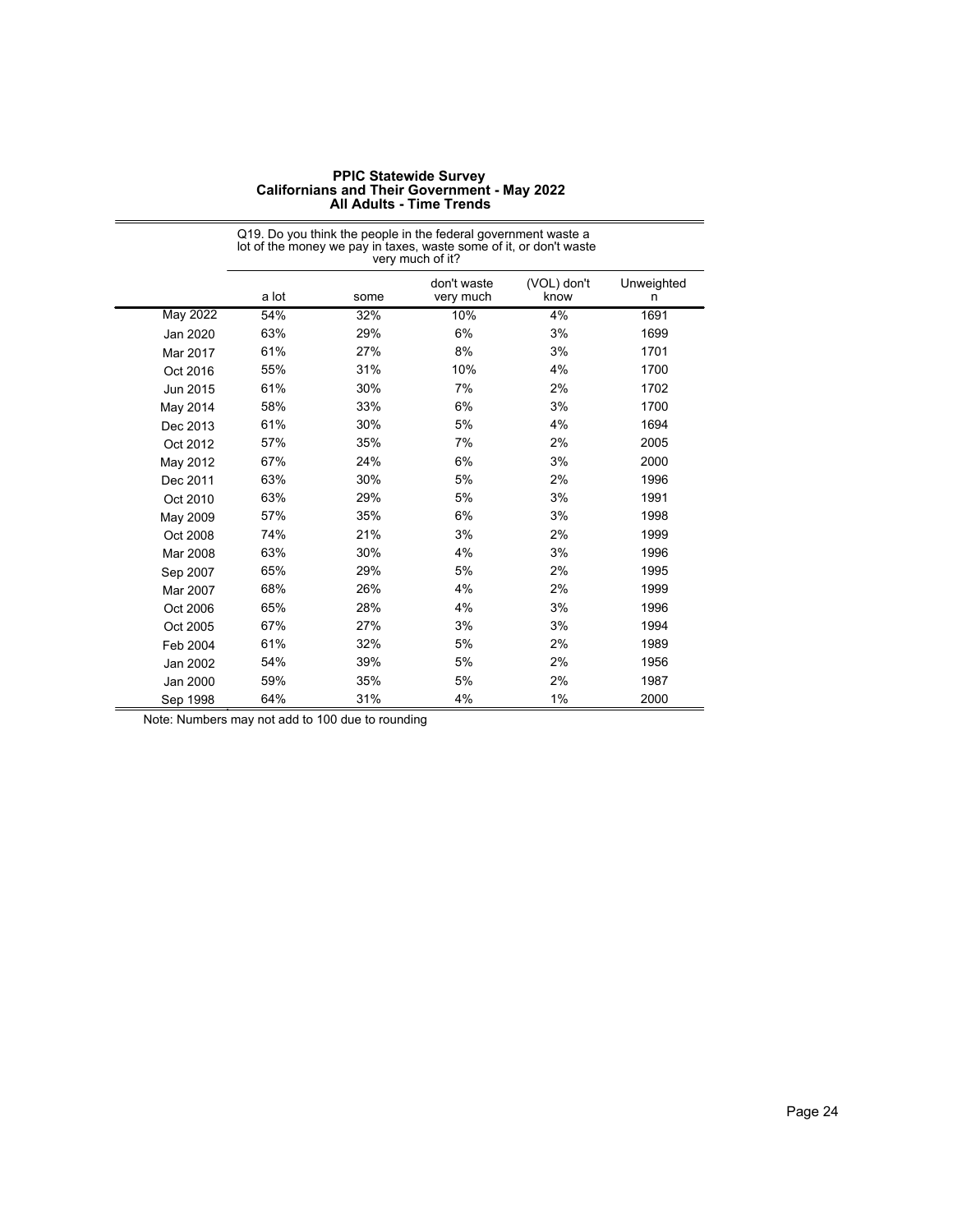| <b>PPIC Statewide Survey</b>                        |
|-----------------------------------------------------|
| <b>Californians and Their Government - May 2022</b> |
| <b>All Adults - Time Trends</b>                     |

|                 | lot of the money we pay in taxes, waste some of it, or don't waste<br>very much of it? |      |                          |                     |                 |  |
|-----------------|----------------------------------------------------------------------------------------|------|--------------------------|---------------------|-----------------|--|
|                 | a lot                                                                                  | some | don't waste<br>very much | (VOL) don't<br>know | Unweighted<br>n |  |
| <b>May 2022</b> | 54%                                                                                    | 32%  | 10%                      | 4%                  | 1691            |  |
| Jan 2020        | 63%                                                                                    | 29%  | 6%                       | 3%                  | 1699            |  |
| Mar 2017        | 61%                                                                                    | 27%  | 8%                       | 3%                  | 1701            |  |
| Oct 2016        | 55%                                                                                    | 31%  | 10%                      | 4%                  | 1700            |  |
| Jun 2015        | 61%                                                                                    | 30%  | 7%                       | 2%                  | 1702            |  |
| May 2014        | 58%                                                                                    | 33%  | 6%                       | 3%                  | 1700            |  |
| Dec 2013        | 61%                                                                                    | 30%  | 5%                       | 4%                  | 1694            |  |
| Oct 2012        | 57%                                                                                    | 35%  | 7%                       | 2%                  | 2005            |  |
| May 2012        | 67%                                                                                    | 24%  | 6%                       | 3%                  | 2000            |  |
| Dec 2011        | 63%                                                                                    | 30%  | 5%                       | 2%                  | 1996            |  |
| Oct 2010        | 63%                                                                                    | 29%  | 5%                       | 3%                  | 1991            |  |
| May 2009        | 57%                                                                                    | 35%  | 6%                       | 3%                  | 1998            |  |
| Oct 2008        | 74%                                                                                    | 21%  | 3%                       | 2%                  | 1999            |  |
| Mar 2008        | 63%                                                                                    | 30%  | 4%                       | 3%                  | 1996            |  |
| Sep 2007        | 65%                                                                                    | 29%  | 5%                       | 2%                  | 1995            |  |
| Mar 2007        | 68%                                                                                    | 26%  | 4%                       | 2%                  | 1999            |  |
| Oct 2006        | 65%                                                                                    | 28%  | 4%                       | 3%                  | 1996            |  |
| Oct 2005        | 67%                                                                                    | 27%  | 3%                       | 3%                  | 1994            |  |
| Feb 2004        | 61%                                                                                    | 32%  | 5%                       | 2%                  | 1989            |  |
| Jan 2002        | 54%                                                                                    | 39%  | 5%                       | 2%                  | 1956            |  |
| Jan 2000        | 59%                                                                                    | 35%  | 5%                       | 2%                  | 1987            |  |
| Sep 1998        | 64%                                                                                    | 31%  | 4%                       | 1%                  | 2000            |  |

# Q19. Do you think the people in the federal government waste a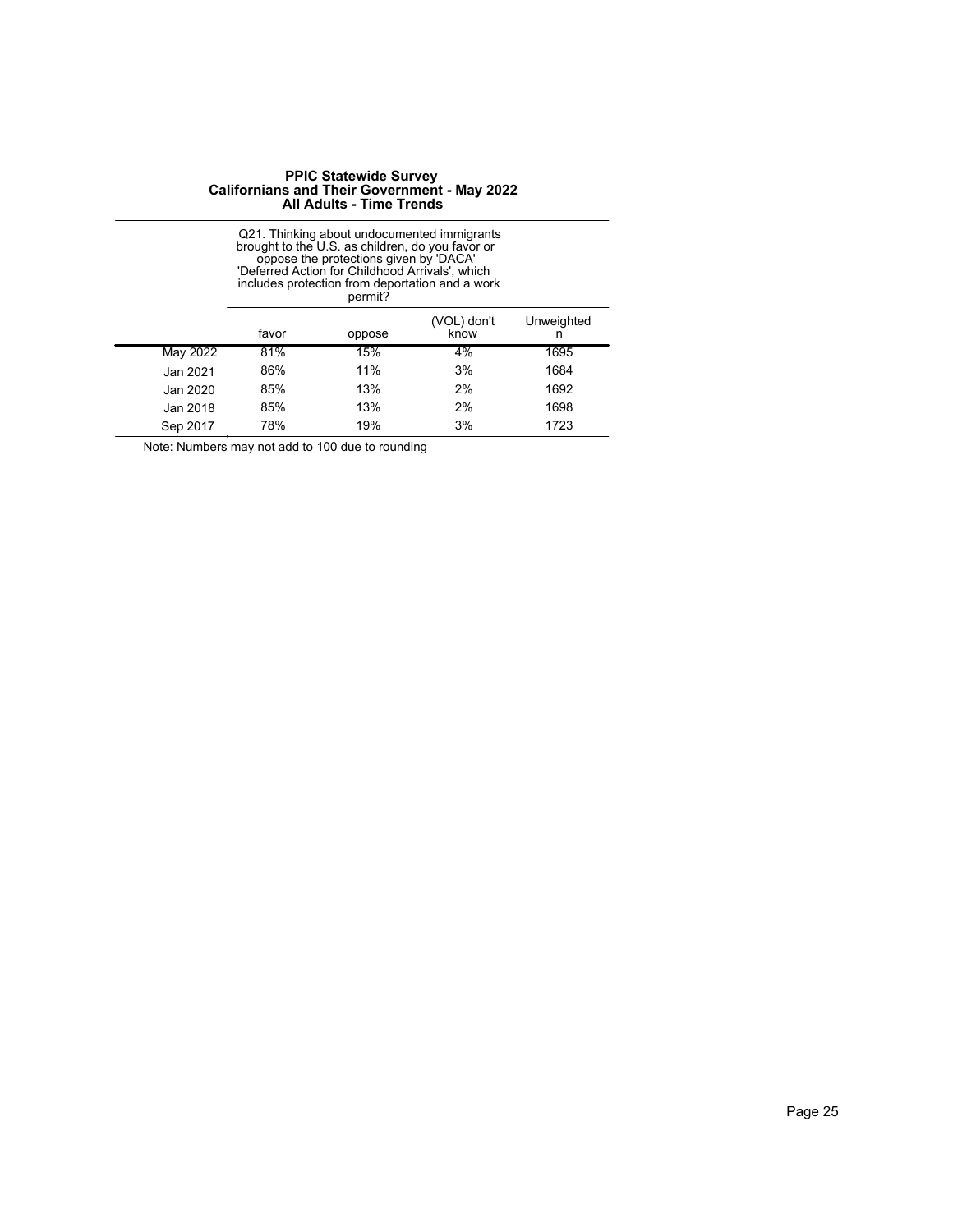|          | Q21. Thinking about undocumented immigrants<br>brought to the U.S. as children, do you favor or<br>oppose the protections given by 'DACA'<br>'Deferred Action for Childhood Arrivals', which<br>includes protection from deportation and a work<br>permit? |        |                     |                 |  |
|----------|------------------------------------------------------------------------------------------------------------------------------------------------------------------------------------------------------------------------------------------------------------|--------|---------------------|-----------------|--|
|          | favor                                                                                                                                                                                                                                                      | oppose | (VOL) don't<br>know | Unweighted<br>n |  |
| May 2022 | 81%                                                                                                                                                                                                                                                        | 15%    | 4%                  | 1695            |  |
| Jan 2021 | 86%                                                                                                                                                                                                                                                        | 11%    | 3%                  | 1684            |  |
| Jan 2020 | 85%                                                                                                                                                                                                                                                        | 13%    | 2%                  | 1692            |  |
| Jan 2018 | 85%                                                                                                                                                                                                                                                        | 13%    | 2%                  | 1698            |  |
| Sep 2017 | 78%                                                                                                                                                                                                                                                        | 19%    | 3%                  | 1723            |  |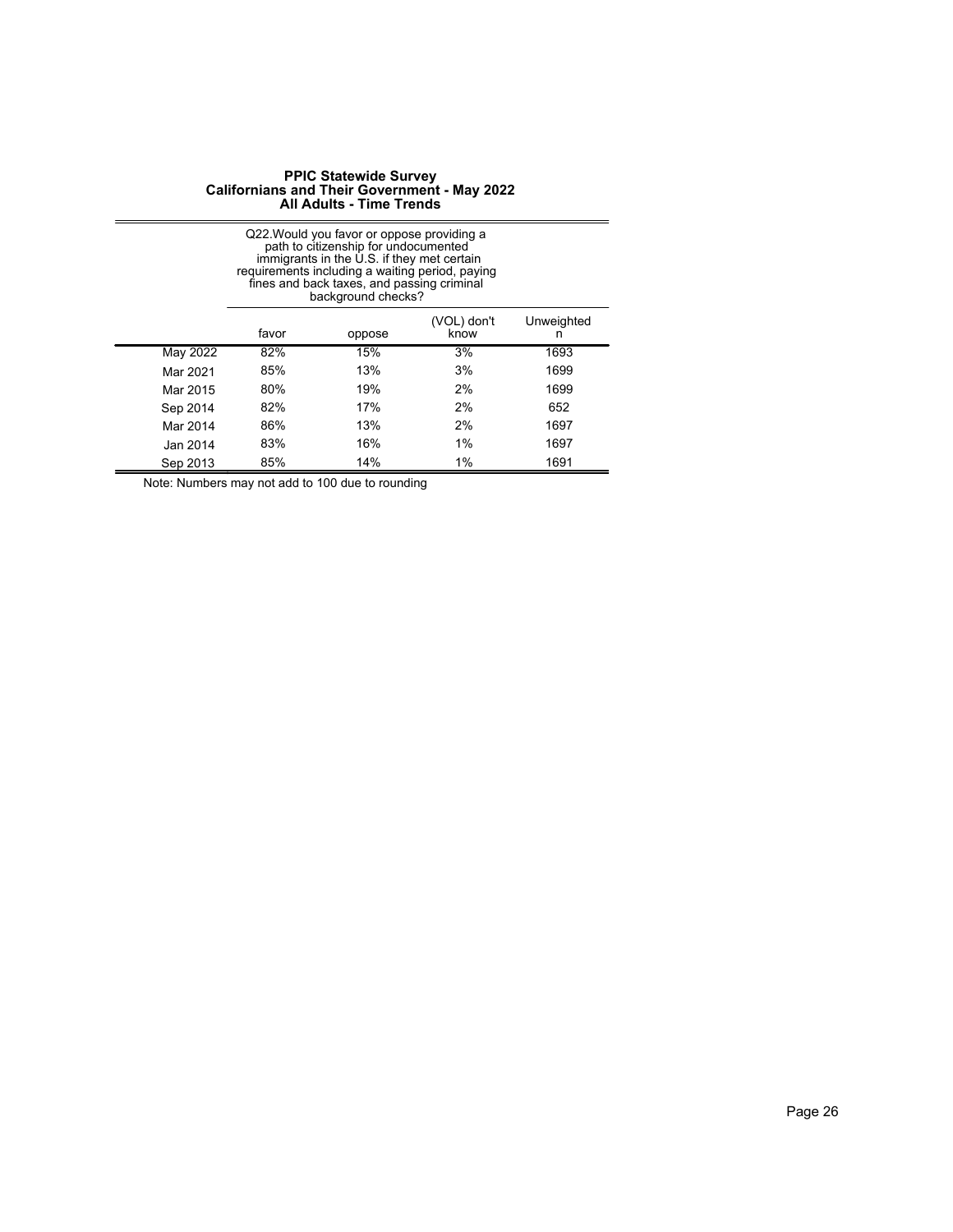|          | Q22. Would you favor or oppose providing a<br>path to citizenship for undocumented<br>immigrants in the $\dot{\cup}$ S. if they met certain<br>requirements including a waiting period, paying<br>fines and back taxes, and passing criminal<br>background checks? |        |                     |                 |  |
|----------|--------------------------------------------------------------------------------------------------------------------------------------------------------------------------------------------------------------------------------------------------------------------|--------|---------------------|-----------------|--|
|          | favor                                                                                                                                                                                                                                                              | oppose | (VOL) don't<br>know | Unweighted<br>n |  |
| May 2022 | 82%                                                                                                                                                                                                                                                                | 15%    | 3%                  | 1693            |  |
| Mar 2021 | 85%                                                                                                                                                                                                                                                                | 13%    | 3%                  | 1699            |  |
| Mar 2015 | 80%                                                                                                                                                                                                                                                                | 19%    | 2%                  | 1699            |  |
| Sep 2014 | 82%                                                                                                                                                                                                                                                                | 17%    | 2%                  | 652             |  |
| Mar 2014 | 86%                                                                                                                                                                                                                                                                | 13%    | 2%                  | 1697            |  |
| Jan 2014 | 83%                                                                                                                                                                                                                                                                | 16%    | 1%                  | 1697            |  |
| Sep 2013 | 85%                                                                                                                                                                                                                                                                | 14%    | 1%                  | 1691            |  |